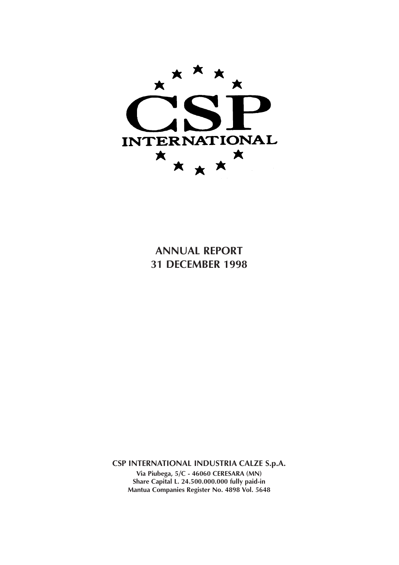

**ANNUAL REPORT 31 DECEMBER 1998**

**CSP INTERNATIONAL INDUSTRIA CALZE S.p.A.**

**Via Piubega, 5/C - 46060 CERESARA (MN) Share Capital L. 24.500.000.000 fully paid-in Mantua Companies Register No. 4898 Vol. 5648**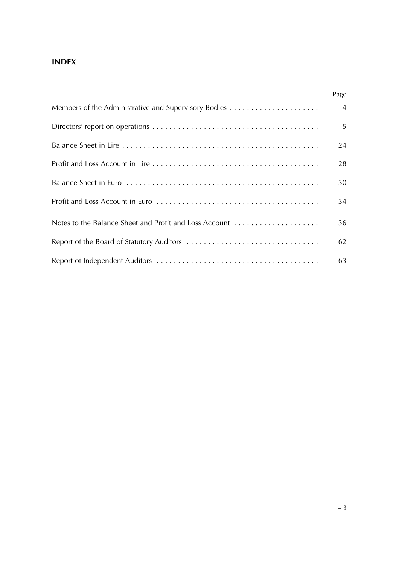## **INDEX**

|                                                        | Page           |
|--------------------------------------------------------|----------------|
| Members of the Administrative and Supervisory Bodies   | $\overline{4}$ |
|                                                        | 5              |
|                                                        | 24             |
|                                                        | 28             |
|                                                        | 30             |
|                                                        | 34             |
| Notes to the Balance Sheet and Profit and Loss Account | 36             |
|                                                        | 62             |
|                                                        | 63             |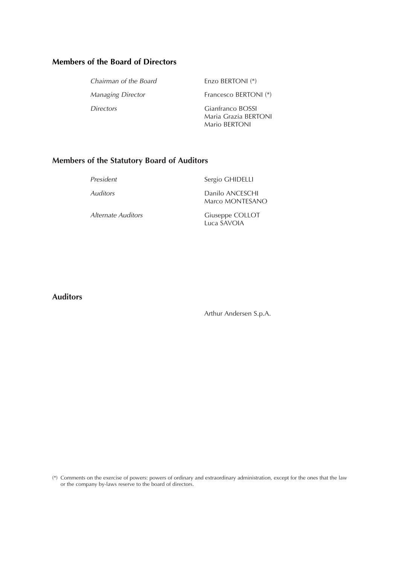## **Members of the Board of Directors**

| Chairman of the Board    | Enzo BERTONI <sup>(*)</sup>                               |
|--------------------------|-----------------------------------------------------------|
| <b>Managing Director</b> | Francesco BERTONI (*)                                     |
| <i>Directors</i>         | Gianfranco BOSSI<br>Maria Grazia BERTONI<br>Mario BERTONI |

## **Members of the Statutory Board of Auditors**

| President          | Sergio GHIDELLI                    |
|--------------------|------------------------------------|
| Auditors           | Danilo ANCESCHI<br>Marco MONTESANO |
| Alternate Auditors | Giuseppe COLLOT                    |

**Auditors**

Arthur Andersen S.p.A.

Luca SAVOIA

(\*) Comments on the exercise of powers: powers of ordinary and extraordinary administration, except for the ones that the law or the company by-laws reserve to the board of directors.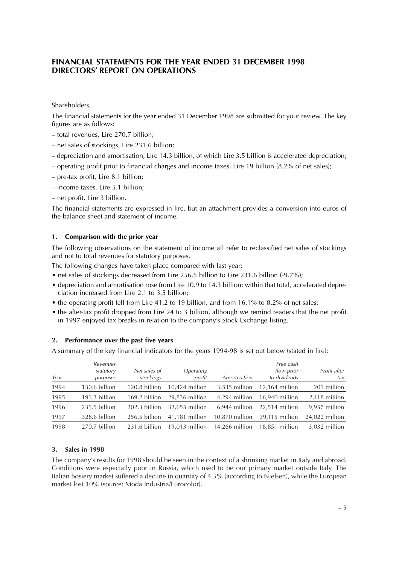### **FINANCIAL STATEMENTS FOR THE YEAR ENDED 31 DECEMBER 1998 DIRECTORS' REPORT ON OPERATIONS**

Shareholders,

The financial statements for the year ended 31 December 1998 are submitted for your review. The key figures are as follows:

- total revenues, Lire 270.7 billion;
- net sales of stockings, Lire 231.6 billion;
- depreciation and amortisation, Lire 14.3 billion, of which Lire 3.5 billion is accelerated depreciation;
- operating profit prior to financial charges and income taxes, Lire 19 billion (8.2% of net sales);
- pre-tax profit, Lire 8.1 billion;
- income taxes, Lire 5.1 billion;
- net profit, Lire 3 billion.

The financial statements are expressed in lire, but an attachment provides a conversion into euros of the balance sheet and statement of income.

#### **1. Comparison with the prior year**

The following observations on the statement of income all refer to reclassified net sales of stockings and not to total revenues for statutory purposes.

The following changes have taken place compared with last year:

- net sales of stockings decreased from Lire 256.5 billion to Lire 231.6 billion (-9.7%);
- depreciation and amortisation rose from Lire 10.9 to 14.3 billion; within that total, accelerated depreciation increased from Lire 2.1 to 3.5 billion;
- the operating profit fell from Lire 41.2 to 19 billion, and from 16.1% to 8.2% of net sales;
- the after-tax profit dropped from Lire 24 to 3 billion, although we remind readers that the net profit in 1997 enjoyed tax breaks in relation to the company's Stock Exchange listing.

#### **2. Performance over the past five years**

A summary of the key financial indicators for the years 1994-98 is set out below (stated in lire):

| Year | Revenues<br>statutory<br>purposes | Net sales of<br>stockings | <i><b>Operating</b></i><br>profit | Amortization   | Free cash<br>flow prior<br>to dividends | Profit after<br>tax |
|------|-----------------------------------|---------------------------|-----------------------------------|----------------|-----------------------------------------|---------------------|
| 1994 | 130.6 billion                     | 120.8 billion             | $10,424$ million                  | 3,535 million  | $12,164$ million                        | 201 million         |
| 1995 | 191.3 billion                     | 169.2 billion             | 29.836 million                    | 4.294 million  | 16.940 million                          | 2,118 million       |
| 1996 | 231.5 billion                     | 202.3 billion             | 32,655 million                    | 6,944 million  | 22,514 million                          | 9,957 million       |
| 1997 | 328.6 billion                     | 256.5 billion             | 41,181 million                    | 10.870 million | 39,115 million                          | 24,022 million      |
| 1998 | 270.7 billion                     | 231.6 billion             | $19.013$ million                  | 14.266 million | 18,851 million                          | 3,032 million       |

#### **3. Sales in 1998**

The company's results for 1998 should be seen in the context of a shrinking market in Italy and abroad. Conditions were especially poor in Russia, which used to be our primary market outside Italy. The Italian hosiery market suffered a decline in quantity of 4.5% (according to Nielsen), while the European market lost 10% (source: Moda Industria/Eurocolor).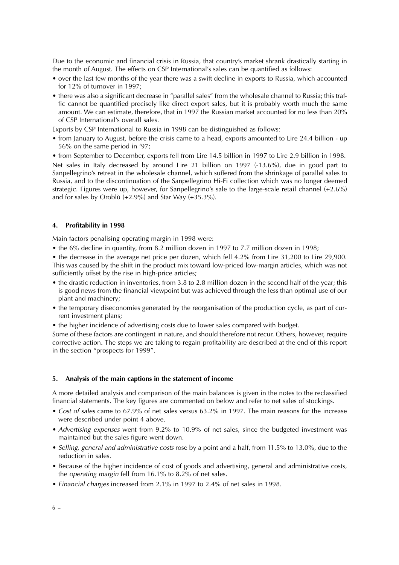Due to the economic and financial crisis in Russia, that country's market shrank drastically starting in the month of August. The effects on CSP International's sales can be quantified as follows:

- over the last few months of the year there was a swift decline in exports to Russia, which accounted for 12% of turnover in 1997;
- there was also a significant decrease in "parallel sales" from the wholesale channel to Russia; this traffic cannot be quantified precisely like direct export sales, but it is probably worth much the same amount. We can estimate, therefore, that in 1997 the Russian market accounted for no less than 20% of CSP International's overall sales.

Exports by CSP International to Russia in 1998 can be distinguished as follows:

• from January to August, before the crisis came to a head, exports amounted to Lire 24.4 billion - up 56% on the same period in '97;

• from September to December, exports fell from Lire 14.5 billion in 1997 to Lire 2.9 billion in 1998. Net sales in Italy decreased by around Lire 21 billion on 1997 (-13.6%), due in good part to Sanpellegrino's retreat in the wholesale channel, which suffered from the shrinkage of parallel sales to Russia, and to the discontinuation of the Sanpellegrino Hi-Fi collection which was no longer deemed strategic. Figures were up, however, for Sanpellegrino's sale to the large-scale retail channel (+2.6%) and for sales by Oroblù  $(+2.9\%)$  and Star Way  $(+35.3\%).$ 

#### **4. Profitability in 1998**

Main factors penalising operating margin in 1998 were:

• the 6% decline in quantity, from 8.2 million dozen in 1997 to 7.7 million dozen in 1998;

• the decrease in the average net price per dozen, which fell 4.2% from Lire 31,200 to Lire 29,900. This was caused by the shift in the product mix toward low-priced low-margin articles, which was not sufficiently offset by the rise in high-price articles;

- the drastic reduction in inventories, from 3.8 to 2.8 million dozen in the second half of the year; this is good news from the financial viewpoint but was achieved through the less than optimal use of our plant and machinery;
- the temporary diseconomies generated by the reorganisation of the production cycle, as part of current investment plans;
- the higher incidence of advertising costs due to lower sales compared with budget.

Some of these factors are contingent in nature, and should therefore not recur. Others, however, require corrective action. The steps we are taking to regain profitability are described at the end of this report in the section "prospects for 1999".

#### **5. Analysis of the main captions in the statement of income**

A more detailed analysis and comparison of the main balances is given in the notes to the reclassified financial statements. The key figures are commented on below and refer to net sales of stockings.

- Cost of sales came to 67.9% of net sales versus 63.2% in 1997. The main reasons for the increase were described under point 4 above.
- Advertising expenses went from 9.2% to 10.9% of net sales, since the budgeted investment was maintained but the sales figure went down.
- Selling, general and administrative costs rose by a point and a half, from 11.5% to 13.0%, due to the reduction in sales.
- Because of the higher incidence of cost of goods and advertising, general and administrative costs, the operating margin fell from 16.1% to 8.2% of net sales.
- Financial charges increased from 2.1% in 1997 to 2.4% of net sales in 1998.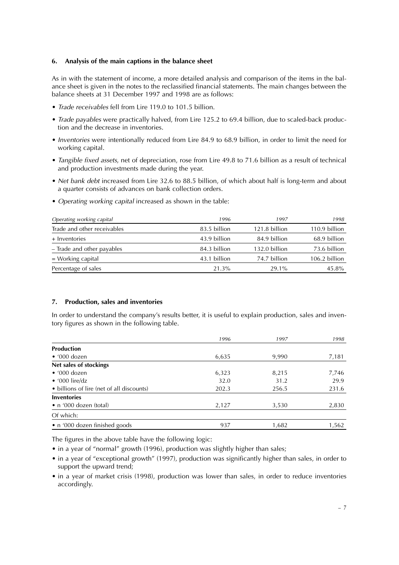#### **6. Analysis of the main captions in the balance sheet**

As in with the statement of income, a more detailed analysis and comparison of the items in the balance sheet is given in the notes to the reclassified financial statements. The main changes between the balance sheets at 31 December 1997 and 1998 are as follows:

- Trade receivables fell from Lire 119.0 to 101.5 billion.
- Trade payables were practically halved, from Lire 125.2 to 69.4 billion, due to scaled-back production and the decrease in inventories.
- Inventories were intentionally reduced from Lire 84.9 to 68.9 billion, in order to limit the need for working capital.
- Tangible fixed assets, net of depreciation, rose from Lire 49.8 to 71.6 billion as a result of technical and production investments made during the year.
- Net bank debt increased from Lire 32.6 to 88.5 billion, of which about half is long-term and about a quarter consists of advances on bank collection orders.
- Operating working capital increased as shown in the table:

| Operating working capital   | 1996         | 1997          | 1998          |
|-----------------------------|--------------|---------------|---------------|
| Trade and other receivables | 83.5 billion | 121.8 billion | 110.9 billion |
| + Inventories               | 43.9 billion | 84.9 billion  | 68.9 billion  |
| - Trade and other payables  | 84.3 billion | 132.0 billion | 73.6 billion  |
| $=$ Working capital         | 43.1 billion | 74.7 billion  | 106.2 billion |
| Percentage of sales         | 21.3%        | 29.1%         | 45.8%         |

#### **7. Production, sales and inventories**

In order to understand the company's results better, it is useful to explain production, sales and inventory figures as shown in the following table.

|                                           | 1996  | 1997  | 1998  |
|-------------------------------------------|-------|-------|-------|
| <b>Production</b>                         |       |       |       |
| $\bullet$ '000 dozen                      | 6,635 | 9,990 | 7,181 |
| Net sales of stockings                    |       |       |       |
| $\bullet$ '000 dozen                      | 6,323 | 8,215 | 7,746 |
| $\bullet$ '000 lire/dz                    | 32.0  | 31.2  | 29.9  |
| • billions of lire (net of all discounts) | 202.3 | 256.5 | 231.6 |
| <b>Inventories</b>                        |       |       |       |
| • n '000 dozen (total)                    | 2,127 | 3,530 | 2,830 |
| Of which:                                 |       |       |       |
| • n '000 dozen finished goods             | 937   | 1,682 | 1,562 |

The figures in the above table have the following logic:

- in a year of "normal" growth (1996), production was slightly higher than sales;
- in a year of "exceptional growth" (1997), production was significantly higher than sales, in order to support the upward trend;
- in a year of market crisis (1998), production was lower than sales, in order to reduce inventories accordingly.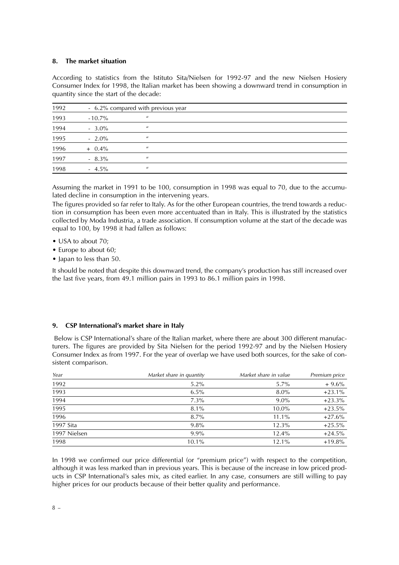#### **8. The market situation**

According to statistics from the Istituto Sita/Nielsen for 1992-97 and the new Nielsen Hosiery Consumer Index for 1998, the Italian market has been showing a downward trend in consumption in quantity since the start of the decade:

| 1992 |           | - 6.2% compared with previous year |  |
|------|-----------|------------------------------------|--|
| 1993 | $-10.7\%$ | $\prime\prime$                     |  |
| 1994 | $-3.0\%$  | $\boldsymbol{\mu}$                 |  |
| 1995 | $-2.0\%$  | $\boldsymbol{\mu}$                 |  |
| 1996 | $+$ 0.4%  | $\boldsymbol{\mu}$                 |  |
| 1997 | $-8.3\%$  | $\prime\prime$                     |  |
| 1998 | $-4.5\%$  | $\boldsymbol{\mu}$                 |  |

Assuming the market in 1991 to be 100, consumption in 1998 was equal to 70, due to the accumulated decline in consumption in the intervening years.

The figures provided so far refer to Italy. As for the other European countries, the trend towards a reduction in consumption has been even more accentuated than in Italy. This is illustrated by the statistics collected by Moda Industria, a trade association. If consumption volume at the start of the decade was equal to 100, by 1998 it had fallen as follows:

- USA to about 70;
- Europe to about 60;
- Japan to less than 50.

It should be noted that despite this downward trend, the company's production has still increased over the last five years, from 49.1 million pairs in 1993 to 86.1 million pairs in 1998.

#### **9. CSP International's market share in Italy**

Below is CSP International's share of the Italian market, where there are about 300 different manufacturers. The figures are provided by Sita Nielsen for the period 1992-97 and by the Nielsen Hosiery Consumer Index as from 1997. For the year of overlap we have used both sources, for the sake of consistent comparison.

| Year         | Market share in quantity | Market share in value | Premium price |
|--------------|--------------------------|-----------------------|---------------|
| 1992         | $5.2\%$                  | $5.7\%$               | $+9.6%$       |
| 1993         | $6.5\%$                  | $8.0\%$               | $+23.1%$      |
| 1994         | $7.3\%$                  | $9.0\%$               | $+23.3%$      |
| 1995         | $8.1\%$                  | $10.0\%$              | $+23.5%$      |
| 1996         | $8.7\%$                  | 11.1%                 | $+27.6%$      |
| 1997 Sita    | $9.8\%$                  | 12.3%                 | $+25.5%$      |
| 1997 Nielsen | $9.9\%$                  | 12.4%                 | $+24.5%$      |
| 1998         | $10.1\%$                 | 12.1%                 | $+19.8%$      |

In 1998 we confirmed our price differential (or "premium price") with respect to the competition, although it was less marked than in previous years. This is because of the increase in low priced products in CSP International's sales mix, as cited earlier. In any case, consumers are still willing to pay higher prices for our products because of their better quality and performance.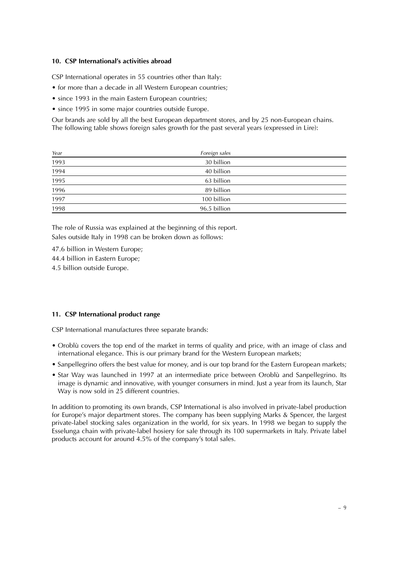#### **10. CSP International's activities abroad**

CSP International operates in 55 countries other than Italy:

- for more than a decade in all Western European countries;
- since 1993 in the main Eastern European countries;
- since 1995 in some major countries outside Europe.

Our brands are sold by all the best European department stores, and by 25 non-European chains. The following table shows foreign sales growth for the past several years (expressed in Lire):

| Year                | Foreign sales |  |
|---------------------|---------------|--|
| 1993                | 30 billion    |  |
| 1994                | 40 billion    |  |
| 1995                | 63 billion    |  |
|                     | 89 billion    |  |
| $\frac{1996}{1997}$ | 100 billion   |  |
| 1998                | 96.5 billion  |  |

The role of Russia was explained at the beginning of this report. Sales outside Italy in 1998 can be broken down as follows:

47.6 billion in Western Europe; 44.4 billion in Eastern Europe; 4.5 billion outside Europe.

#### **11. CSP International product range**

CSP International manufactures three separate brands:

- Oroblù covers the top end of the market in terms of quality and price, with an image of class and international elegance. This is our primary brand for the Western European markets;
- Sanpellegrino offers the best value for money, and is our top brand for the Eastern European markets;
- Star Way was launched in 1997 at an intermediate price between Oroblù and Sanpellegrino. Its image is dynamic and innovative, with younger consumers in mind. Just a year from its launch, Star Way is now sold in 25 different countries.

In addition to promoting its own brands, CSP International is also involved in private-label production for Europe's major department stores. The company has been supplying Marks & Spencer, the largest private-label stocking sales organization in the world, for six years. In 1998 we began to supply the Esselunga chain with private-label hosiery for sale through its 100 supermarkets in Italy. Private label products account for around 4.5% of the company's total sales.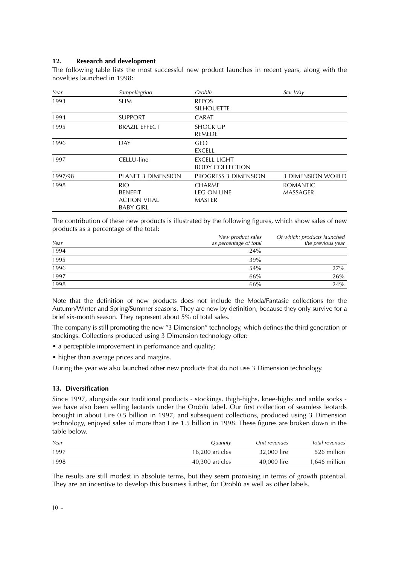#### **12. Research and development**

The following table lists the most successful new product launches in recent years, along with the novelties launched in 1998:

| Year    | Sampellegrino                                                           | Oroblù                                               | Star Way                           |
|---------|-------------------------------------------------------------------------|------------------------------------------------------|------------------------------------|
| 1993    | <b>SLIM</b>                                                             | <b>REPOS</b><br><b>SILHOUETTE</b>                    |                                    |
| 1994    | <b>SUPPORT</b>                                                          | <b>CARAT</b>                                         |                                    |
| 1995    | <b>BRAZIL EFFECT</b>                                                    | <b>SHOCK UP</b><br><b>REMEDE</b>                     |                                    |
| 1996    | <b>DAY</b>                                                              | <b>GEO</b><br>EXCELL                                 |                                    |
| 1997    | CELLU-line                                                              | <b>EXCELL LIGHT</b><br><b>BODY COLLECTION</b>        |                                    |
| 1997/98 | <b>PLANET 3 DIMENSION</b>                                               | PROGRESS 3 DIMENSION                                 | <b>3 DIMENSION WORLD</b>           |
| 1998    | <b>RIO</b><br><b>BENEFIT</b><br><b>ACTION VITAL</b><br><b>BABY GIRL</b> | <b>CHARME</b><br><b>LEG ON LINE</b><br><b>MASTER</b> | <b>ROMANTIC</b><br><b>MASSAGER</b> |

The contribution of these new products is illustrated by the following figures, which show sales of new products as a percentage of the total:

| Year | New product sales<br>as percentage of total | Of which: products launched<br>the previous year |
|------|---------------------------------------------|--------------------------------------------------|
| 1994 | 24%                                         |                                                  |
| 1995 | 39%                                         |                                                  |
| 1996 | 54%                                         | 27%                                              |
| 1997 | 66%                                         | 26%                                              |
| 1998 | 66%                                         | 24%                                              |

Note that the definition of new products does not include the Moda/Fantasie collections for the Autumn/Winter and Spring/Summer seasons. They are new by definition, because they only survive for a brief six-month season. They represent about 5% of total sales.

The company is still promoting the new "3 Dimension" technology, which defines the third generation of stockings. Collections produced using 3 Dimension technology offer:

- a perceptible improvement in performance and quality;
- higher than average prices and margins.

During the year we also launched other new products that do not use 3 Dimension technology.

#### **13. Diversification**

Since 1997, alongside our traditional products - stockings, thigh-highs, knee-highs and ankle socks we have also been selling leotards under the Oroblù label. Our first collection of seamless leotards brought in about Lire 0.5 billion in 1997, and subsequent collections, produced using 3 Dimension technology, enjoyed sales of more than Lire 1.5 billion in 1998. These figures are broken down in the table below.

| Year | Quantity        | Unit revenues | Total revenues |
|------|-----------------|---------------|----------------|
| 1997 | 16.200 articles | 32,000 lire   | 526 million    |
| 1998 | 40.300 articles | 40,000 lire   | 1.646 million  |

The results are still modest in absolute terms, but they seem promising in terms of growth potential. They are an incentive to develop this business further, for Oroblù as well as other labels.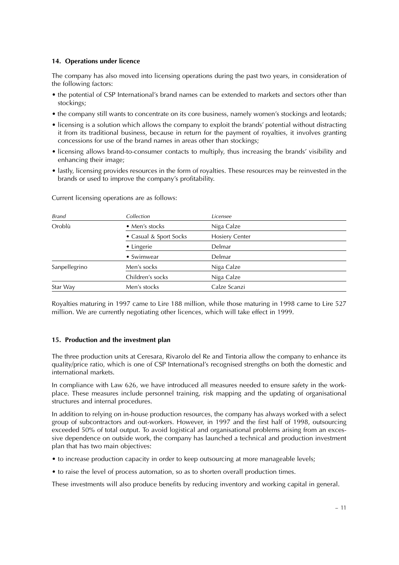#### **14. Operations under licence**

The company has also moved into licensing operations during the past two years, in consideration of the following factors:

- the potential of CSP International's brand names can be extended to markets and sectors other than stockings;
- the company still wants to concentrate on its core business, namely women's stockings and leotards;
- licensing is a solution which allows the company to exploit the brands' potential without distracting it from its traditional business, because in return for the payment of royalties, it involves granting concessions for use of the brand names in areas other than stockings;
- licensing allows brand-to-consumer contacts to multiply, thus increasing the brands' visibility and enhancing their image;
- lastly, licensing provides resources in the form of royalties. These resources may be reinvested in the brands or used to improve the company's profitability.

| Collection             | Licensee              |
|------------------------|-----------------------|
| • Men's stocks         | Niga Calze            |
| • Casual & Sport Socks | <b>Hosiery Center</b> |
| • Lingerie             | Delmar                |
| • Swimwear             | Delmar                |
| Men's socks            | Niga Calze            |
| Children's socks       | Niga Calze            |
| Men's stocks           | Calze Scanzi          |
|                        |                       |

Current licensing operations are as follows:

Royalties maturing in 1997 came to Lire 188 million, while those maturing in 1998 came to Lire 527 million. We are currently negotiating other licences, which will take effect in 1999.

#### **15. Production and the investment plan**

The three production units at Ceresara, Rivarolo del Re and Tintoria allow the company to enhance its quality/price ratio, which is one of CSP International's recognised strengths on both the domestic and international markets.

In compliance with Law 626, we have introduced all measures needed to ensure safety in the workplace. These measures include personnel training, risk mapping and the updating of organisational structures and internal procedures.

In addition to relying on in-house production resources, the company has always worked with a select group of subcontractors and out-workers. However, in 1997 and the first half of 1998, outsourcing exceeded 50% of total output. To avoid logistical and organisational problems arising from an excessive dependence on outside work, the company has launched a technical and production investment plan that has two main objectives:

- to increase production capacity in order to keep outsourcing at more manageable levels;
- to raise the level of process automation, so as to shorten overall production times.

These investments will also produce benefits by reducing inventory and working capital in general.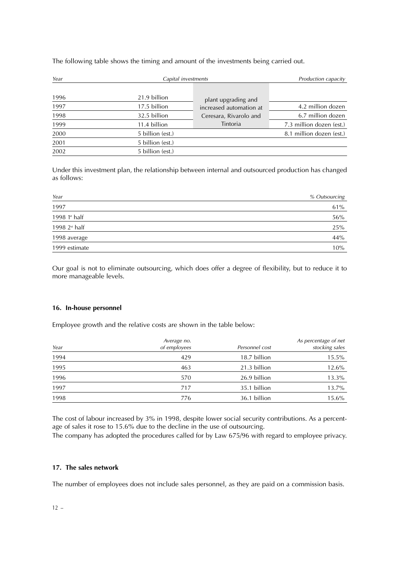The following table shows the timing and amount of the investments being carried out.

| Year |                  | Capital investments                               |                          |  |
|------|------------------|---------------------------------------------------|--------------------------|--|
| 1996 | 21.9 billion     | plant upgrading and                               |                          |  |
| 1997 | 17.5 billion     | increased automation at<br>Ceresara, Rivarolo and | 4.2 million dozen        |  |
| 1998 | 32.5 billion     |                                                   | 6.7 million dozen        |  |
| 1999 | 11.4 billion     | Tintoria                                          | 7.3 million dozen (est.) |  |
| 2000 | 5 billion (est.) |                                                   | 8.1 million dozen (est.) |  |
| 2001 | 5 billion (est.) |                                                   |                          |  |
| 2002 | 5 billion (est.) |                                                   |                          |  |

Under this investment plan, the relationship between internal and outsourced production has changed as follows:

| Year            | % Outsourcing |
|-----------------|---------------|
| 1997            | 61%           |
| 1998 1st half   | $56\%$        |
| 1998 $2st$ half | 25%           |
| 1998 average    | 44%           |
| 1999 estimate   | 10%           |

Our goal is not to eliminate outsourcing, which does offer a degree of flexibility, but to reduce it to more manageable levels.

#### **16. In-house personnel**

Employee growth and the relative costs are shown in the table below:

| Year | Average no.<br>of employees | Personnel cost | As percentage of net<br>stocking sales |
|------|-----------------------------|----------------|----------------------------------------|
| 1994 | 429                         | 18.7 billion   | $15.5\%$                               |
| 1995 | 463                         | 21.3 billion   | 12.6%                                  |
| 1996 | 570                         | 26.9 billion   | 13.3%                                  |
| 1997 | 717                         | 35.1 billion   | 13.7%                                  |
| 1998 | 776                         | 36.1 billion   | 15.6%                                  |

The cost of labour increased by 3% in 1998, despite lower social security contributions. As a percentage of sales it rose to 15.6% due to the decline in the use of outsourcing.

The company has adopted the procedures called for by Law 675/96 with regard to employee privacy.

#### **17. The sales network**

The number of employees does not include sales personnel, as they are paid on a commission basis.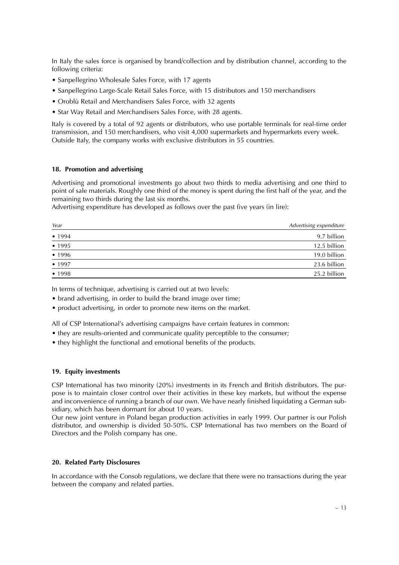In Italy the sales force is organised by brand/collection and by distribution channel, according to the following criteria:

- Sanpellegrino Wholesale Sales Force, with 17 agents
- Sanpellegrino Large-Scale Retail Sales Force, with 15 distributors and 150 merchandisers
- Oroblù Retail and Merchandisers Sales Force, with 32 agents
- Star Way Retail and Merchandisers Sales Force, with 28 agents.

Italy is covered by a total of 92 agents or distributors, who use portable terminals for real-time order transmission, and 150 merchandisers, who visit 4,000 supermarkets and hypermarkets every week. Outside Italy, the company works with exclusive distributors in 55 countries.

#### **18. Promotion and advertising**

Advertising and promotional investments go about two thirds to media advertising and one third to point of sale materials. Roughly one third of the money is spent during the first half of the year, and the remaining two thirds during the last six months.

Advertising expenditure has developed as follows over the past five years (in lire):

| Year   | Advertising expenditure |
|--------|-------------------------|
| • 1994 | 9.7 billion             |
| • 1995 | 12.5 billion            |
| • 1996 | 19.0 billion            |
| • 1997 | 23.6 billion            |
| • 1998 | 25.2 billion            |

In terms of technique, advertising is carried out at two levels:

- brand advertising, in order to build the brand image over time;
- product advertising, in order to promote new items on the market.

All of CSP International's advertising campaigns have certain features in common:

- they are results-oriented and communicate quality perceptible to the consumer;
- they highlight the functional and emotional benefits of the products.

#### **19. Equity investments**

CSP International has two minority (20%) investments in its French and British distributors. The purpose is to maintain closer control over their activities in these key markets, but without the expense and inconvenience of running a branch of our own. We have nearly finished liquidating a German subsidiary, which has been dormant for about 10 years.

Our new joint venture in Poland began production activities in early 1999. Our partner is our Polish distributor, and ownership is divided 50-50%. CSP International has two members on the Board of Directors and the Polish company has one.

#### **20. Related Party Disclosures**

In accordance with the Consob regulations, we declare that there were no transactions during the year between the company and related parties.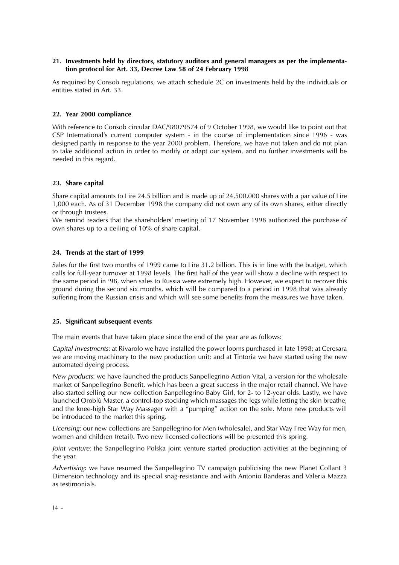#### **21. Investments held by directors, statutory auditors and general managers as per the implementation protocol for Art. 33, Decree Law 58 of 24 February 1998**

As required by Consob regulations, we attach schedule 2C on investments held by the individuals or entities stated in Art. 33.

#### **22. Year 2000 compliance**

With reference to Consob circular DAC/98079574 of 9 October 1998, we would like to point out that CSP International's current computer system - in the course of implementation since 1996 - was designed partly in response to the year 2000 problem. Therefore, we have not taken and do not plan to take additional action in order to modify or adapt our system, and no further investments will be needed in this regard.

#### **23. Share capital**

Share capital amounts to Lire 24.5 billion and is made up of 24,500,000 shares with a par value of Lire 1,000 each. As of 31 December 1998 the company did not own any of its own shares, either directly or through trustees.

We remind readers that the shareholders' meeting of 17 November 1998 authorized the purchase of own shares up to a ceiling of 10% of share capital.

#### **24. Trends at the start of 1999**

Sales for the first two months of 1999 came to Lire 31.2 billion. This is in line with the budget, which calls for full-year turnover at 1998 levels. The first half of the year will show a decline with respect to the same period in '98, when sales to Russia were extremely high. However, we expect to recover this ground during the second six months, which will be compared to a period in 1998 that was already suffering from the Russian crisis and which will see some benefits from the measures we have taken.

#### **25. Significant subsequent events**

The main events that have taken place since the end of the year are as follows:

Capital investments: at Rivarolo we have installed the power looms purchased in late 1998; at Ceresara we are moving machinery to the new production unit; and at Tintoria we have started using the new automated dyeing process.

New products: we have launched the products Sanpellegrino Action Vital, a version for the wholesale market of Sanpellegrino Benefit, which has been a great success in the major retail channel. We have also started selling our new collection Sanpellegrino Baby Girl, for 2- to 12-year olds. Lastly, we have launched Oroblù Master, a control-top stocking which massages the legs while letting the skin breathe, and the knee-high Star Way Massager with a "pumping" action on the sole. More new products will be introduced to the market this spring.

Licensing: our new collections are Sanpellegrino for Men (wholesale), and Star Way Free Way for men, women and children (retail). Two new licensed collections will be presented this spring.

Joint venture: the Sanpellegrino Polska joint venture started production activities at the beginning of the year.

Advertising: we have resumed the Sanpellegrino TV campaign publicising the new Planet Collant 3 Dimension technology and its special snag-resistance and with Antonio Banderas and Valeria Mazza as testimonials.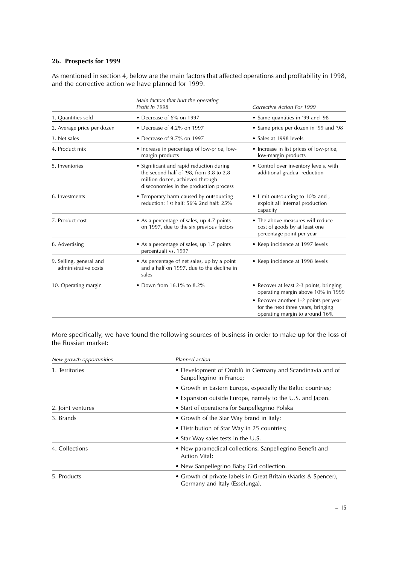#### **26. Prospects for 1999**

As mentioned in section 4, below are the main factors that affected operations and profitability in 1998, and the corrective action we have planned for 1999.

|                                                 | Main factors that hurt the operating<br>Profit In 1998                                                                                                           | <b>Corrective Action For 1999</b>                                                                             |
|-------------------------------------------------|------------------------------------------------------------------------------------------------------------------------------------------------------------------|---------------------------------------------------------------------------------------------------------------|
| 1. Quantities sold                              | • Decrease of 6% on 1997                                                                                                                                         | • Same quantities in '99 and '98                                                                              |
| 2. Average price per dozen                      | • Decrease of 4.2% on 1997                                                                                                                                       | • Same price per dozen in '99 and '98                                                                         |
| 3. Net sales                                    | • Decrease of 9.7% on 1997                                                                                                                                       | • Sales at 1998 levels                                                                                        |
| 4. Product mix                                  | • Increase in percentage of low-price, low-<br>margin products                                                                                                   | • Increase in list prices of low-price,<br>low-margin products                                                |
| 5. Inventories                                  | • Significant and rapid reduction during<br>the second half of '98, from 3.8 to 2.8<br>million dozen, achieved through<br>diseconomies in the production process | • Control over inventory levels, with<br>additional gradual reduction                                         |
| 6. Investments                                  | • Temporary harm caused by outsourcing<br>reduction: 1st half: 56% 2nd half: 25%                                                                                 | • Limit outsourcing to 10% and,<br>exploit all internal production<br>capacity                                |
| 7. Product cost                                 | • As a percentage of sales, up 4.7 points<br>on 1997, due to the six previous factors                                                                            | • The above measures will reduce<br>cost of goods by at least one<br>percentage point per year                |
| 8. Advertising                                  | • As a percentage of sales, up 1.7 points<br>percentuali vs. 1997                                                                                                | • Keep incidence at 1997 levels                                                                               |
| 9. Selling, general and<br>administrative costs | • As percentage of net sales, up by a point<br>and a half on 1997, due to the decline in<br>sales                                                                | • Keep incidence at 1998 levels                                                                               |
| 10. Operating margin                            | • Down from $16.1\%$ to $8.2\%$                                                                                                                                  | • Recover at least 2-3 points, bringing<br>operating margin above 10% in 1999                                 |
|                                                 |                                                                                                                                                                  | • Recover another 1-2 points per year<br>for the next three years, bringing<br>operating margin to around 16% |

More specifically, we have found the following sources of business in order to make up for the loss of the Russian market:

| New growth opportunities | Planned action                                                                                   |
|--------------------------|--------------------------------------------------------------------------------------------------|
| 1. Territories           | • Development of Oroblù in Germany and Scandinavia and of<br>Sanpellegrino in France;            |
|                          | • Growth in Eastern Europe, especially the Baltic countries;                                     |
|                          | • Expansion outside Europe, namely to the U.S. and Japan.                                        |
| 2. Joint ventures        | • Start of operations for Sanpellegrino Polska                                                   |
| 3. Brands                | • Growth of the Star Way brand in Italy;                                                         |
|                          | • Distribution of Star Way in 25 countries;                                                      |
|                          | • Star Way sales tests in the U.S.                                                               |
| 4. Collections           | • New paramedical collections: Sanpellegrino Benefit and<br>Action Vital;                        |
|                          | • New Sanpellegrino Baby Girl collection.                                                        |
| 5. Products              | • Growth of private labels in Great Britain (Marks & Spencer),<br>Germany and Italy (Esselunga). |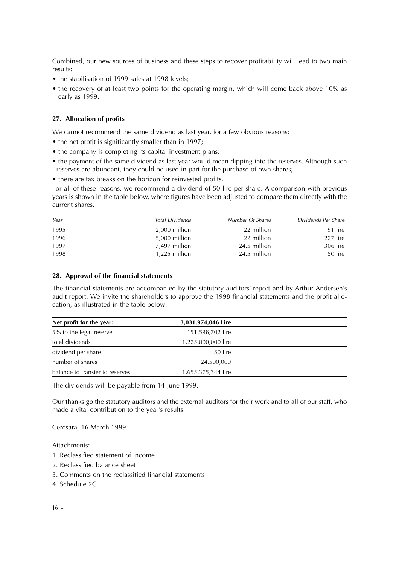Combined, our new sources of business and these steps to recover profitability will lead to two main results:

- the stabilisation of 1999 sales at 1998 levels;
- the recovery of at least two points for the operating margin, which will come back above 10% as early as 1999.

#### **27. Allocation of profits**

We cannot recommend the same dividend as last year, for a few obvious reasons:

- the net profit is significantly smaller than in 1997;
- the company is completing its capital investment plans;
- the payment of the same dividend as last year would mean dipping into the reserves. Although such reserves are abundant, they could be used in part for the purchase of own shares;
- there are tax breaks on the horizon for reinvested profits.

For all of these reasons, we recommend a dividend of 50 lire per share. A comparison with previous years is shown in the table below, where figures have been adjusted to compare them directly with the current shares.

| Year | Total Dividends | Number Of Shares | Dividends Per Share |
|------|-----------------|------------------|---------------------|
| 1995 | 2.000 million   | 22 million       | 91 lire             |
| 1996 | 5,000 million   | 22 million       | 227 lire            |
| 1997 | 7.497 million   | 24.5 million     | 306 lire            |
| 1998 | $1.225$ million | 24.5 million     | 50 lire             |

#### **28. Approval of the financial statements**

The financial statements are accompanied by the statutory auditors' report and by Arthur Andersen's audit report. We invite the shareholders to approve the 1998 financial statements and the profit allocation, as illustrated in the table below:

| Net profit for the year:        | 3,031,974,046 Lire |  |
|---------------------------------|--------------------|--|
| 5% to the legal reserve         | 151,598,702 lire   |  |
| total dividends                 | 1,225,000,000 lire |  |
| dividend per share              | 50 lire            |  |
| number of shares                | 24,500,000         |  |
| balance to transfer to reserves | 1,655,375,344 lire |  |

The dividends will be payable from 14 June 1999.

Our thanks go the statutory auditors and the external auditors for their work and to all of our staff, who made a vital contribution to the year's results.

Ceresara, 16 March 1999

#### Attachments:

- 1. Reclassified statement of income
- 2. Reclassified balance sheet
- 3. Comments on the reclassified financial statements
- 4. Schedule 2C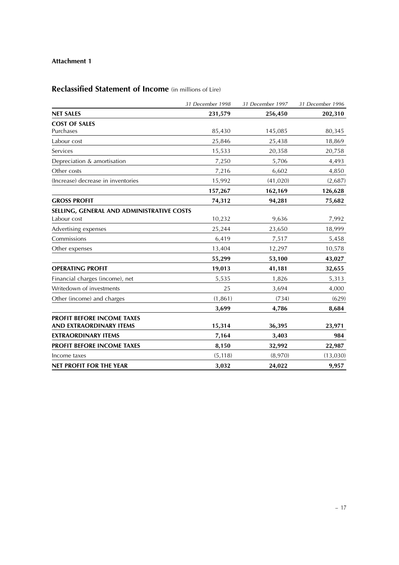#### **Attachment 1**

## **Reclassified Statement of Income** (in millions of Lire)

|                                           | 31 December 1998 | 31 December 1997 | 31 December 1996 |
|-------------------------------------------|------------------|------------------|------------------|
| <b>NET SALES</b>                          | 231,579          | 256,450          | 202,310          |
| <b>COST OF SALES</b>                      |                  |                  |                  |
| Purchases                                 | 85,430           | 145,085          | 80,345           |
| Labour cost                               | 25,846           | 25,438           | 18,869           |
| Services                                  | 15,533           | 20,358           | 20,758           |
| Depreciation & amortisation               | 7,250            | 5,706            | 4,493            |
| Other costs                               | 7,216            | 6,602            | 4,850            |
| (Increase) decrease in inventories        | 15,992           | (41, 020)        | (2,687)          |
|                                           | 157,267          | 162,169          | 126,628          |
| <b>GROSS PROFIT</b>                       | 74,312           | 94,281           | 75,682           |
| SELLING, GENERAL AND ADMINISTRATIVE COSTS |                  |                  |                  |
| Labour cost                               | 10,232           | 9,636            | 7,992            |
| Advertising expenses                      | 25,244           | 23,650           | 18,999           |
| Commissions                               | 6,419            | 7,517            | 5,458            |
| Other expenses                            | 13,404           | 12,297           | 10,578           |
|                                           | 55,299           | 53,100           | 43,027           |
| <b>OPERATING PROFIT</b>                   | 19,013           | 41,181           | 32,655           |
| Financial charges (income), net           | 5,535            | 1,826            | 5,313            |
| Writedown of investments                  | 25               | 3,694            | 4,000            |
| Other (income) and charges                | (1, 861)         | (734)            | (629)            |
|                                           | 3,699            | 4,786            | 8,684            |
| <b>PROFIT BEFORE INCOME TAXES</b>         |                  |                  |                  |
| <b>AND EXTRAORDINARY ITEMS</b>            | 15,314           | 36,395           | 23,971           |
| <b>EXTRAORDINARY ITEMS</b>                | 7,164            | 3,403            | 984              |
| PROFIT BEFORE INCOME TAXES                | 8,150            | 32,992           | 22,987           |
| Income taxes                              | (5, 118)         | (8,970)          | (13,030)         |
| <b>NET PROFIT FOR THE YEAR</b>            | 3,032            | 24,022           | 9,957            |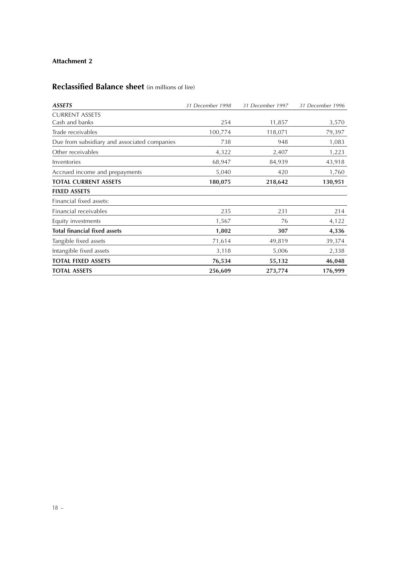#### **Attachment 2**

## **Reclassified Balance sheet** (in millions of lire)

| <b>ASSETS</b>                                | 31 December 1998 | 31 December 1997 | 31 December 1996 |
|----------------------------------------------|------------------|------------------|------------------|
| <b>CURRENT ASSETS</b>                        |                  |                  |                  |
| Cash and banks                               | 254              | 11,857           | 3,570            |
| Trade receivables                            | 100,774          | 118,071          | 79,397           |
| Due from subsidiary and associated companies | 738              | 948              | 1,083            |
| Other receivables                            | 4,322            | 2,407            | 1,223            |
| Inventories                                  | 68,947           | 84,939           | 43,918           |
| Accrued income and prepayments               | 5,040            | 420              | 1,760            |
| <b>TOTAL CURRENT ASSETS</b>                  | 180,075          | 218,642          | 130,951          |
| <b>FIXED ASSETS</b>                          |                  |                  |                  |
| Financial fixed assets:                      |                  |                  |                  |
| Financial receivables                        | 235              | 231              | 214              |
| Equity investments                           | 1,567            | 76               | 4,122            |
| Total financial fixed assets                 | 1,802            | 307              | 4,336            |
| Tangible fixed assets                        | 71,614           | 49,819           | 39,374           |
| Intangible fixed assets                      | 3,118            | 5,006            | 2,338            |
| <b>TOTAL FIXED ASSETS</b>                    | 76,534           | 55,132           | 46,048           |
| <b>TOTAL ASSETS</b>                          | 256,609          | 273,774          | 176,999          |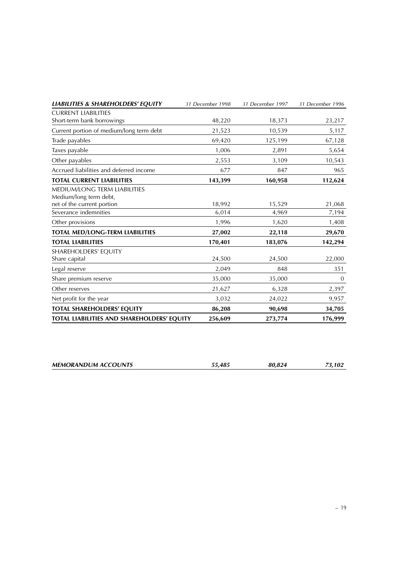| <b>LIABILITIES &amp; SHAREHOLDERS' EQUITY</b>                 | 31 December 1998 | 31 December 1997 | 31 December 1996 |
|---------------------------------------------------------------|------------------|------------------|------------------|
| <b>CURRENT LIABILITIES</b>                                    |                  |                  |                  |
| Short-term bank borrowings                                    | 48,220           | 18,373           | 23,217           |
| Current portion of medium/long term debt                      | 21,523           | 10,539           | 5,117            |
| Trade payables                                                | 69,420           | 125,199          | 67,128           |
| Taxes payable                                                 | 1,006            | 2,891            | 5,654            |
| Other payables                                                | 2,553            | 3,109            | 10,543           |
| Accrued liabilities and deferred income                       | 677              | 847              | 965              |
| <b>TOTAL CURRENT LIABILITIES</b>                              | 143,399          | 160,958          | 112,624          |
| <b>MEDIUM/LONG TERM LIABILITIES</b><br>Medium/long term debt, |                  |                  |                  |
| net of the current portion                                    | 18,992           | 15,529           | 21,068           |
| Severance indemnities                                         | 6,014            | 4,969            | 7,194            |
| Other provisions                                              | 1,996            | 1,620            | 1,408            |
| TOTAL MED/LONG-TERM LIABILITIES                               | 27,002           | 22,118           | 29,670           |
| <b>TOTAL LIABILITIES</b>                                      | 170,401          | 183,076          | 142,294          |
| SHAREHOLDERS' EQUITY                                          |                  |                  |                  |
| Share capital                                                 | 24,500           | 24,500           | 22,000           |
| Legal reserve                                                 | 2,049            | 848              | 351              |
| Share premium reserve                                         | 35,000           | 35,000           | 0                |
| Other reserves                                                | 21,627           | 6,328            | 2,397            |
| Net profit for the year                                       | 3,032            | 24,022           | 9,957            |
| <b>TOTAL SHAREHOLDERS' EQUITY</b>                             | 86,208           | 90,698           | 34,705           |
| TOTAL LIABILITIES AND SHAREHOLDERS' EQUITY                    | 256,609          | 273,774          | 176,999          |

| <b>MEMORANDUM ACCOUNTS</b> | 55.485 | 80.824 | 73.102 |
|----------------------------|--------|--------|--------|
|                            |        |        |        |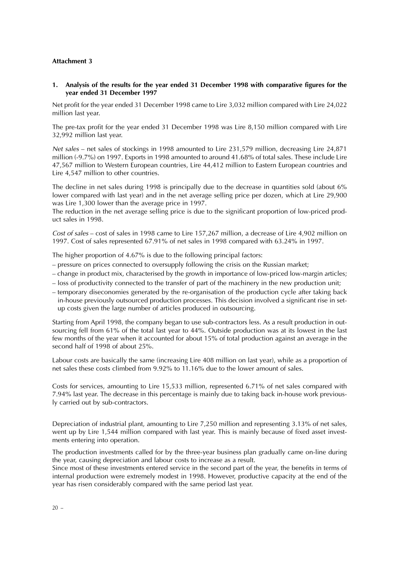#### **Attachment 3**

**1. Analysis of the results for the year ended 31 December 1998 with comparative figures for the year ended 31 December 1997**

Net profit for the year ended 31 December 1998 came to Lire 3,032 million compared with Lire 24,022 million last year.

The pre-tax profit for the year ended 31 December 1998 was Lire 8,150 million compared with Lire 32,992 million last year.

Net sales – net sales of stockings in 1998 amounted to Lire 231,579 million, decreasing Lire 24,871 million (-9.7%) on 1997. Exports in 1998 amounted to around 41.68% of total sales. These include Lire 47,567 million to Western European countries, Lire 44,412 million to Eastern European countries and Lire 4,547 million to other countries.

The decline in net sales during 1998 is principally due to the decrease in quantities sold (about 6% lower compared with last year) and in the net average selling price per dozen, which at Lire 29,900 was Lire 1,300 lower than the average price in 1997.

The reduction in the net average selling price is due to the significant proportion of low-priced product sales in 1998.

Cost of sales – cost of sales in 1998 came to Lire 157,267 million, a decrease of Lire 4,902 million on 1997. Cost of sales represented 67.91% of net sales in 1998 compared with 63.24% in 1997.

The higher proportion of 4.67% is due to the following principal factors:

- pressure on prices connected to oversupply following the crisis on the Russian market;
- change in product mix, characterised by the growth in importance of low-priced low-margin articles;
- loss of productivity connected to the transfer of part of the machinery in the new production unit;
- temporary diseconomies generated by the re-organisation of the production cycle after taking back in-house previously outsourced production processes. This decision involved a significant rise in setup costs given the large number of articles produced in outsourcing.

Starting from April 1998, the company began to use sub-contractors less. As a result production in outsourcing fell from 61% of the total last year to 44%. Outside production was at its lowest in the last few months of the year when it accounted for about 15% of total production against an average in the second half of 1998 of about 25%.

Labour costs are basically the same (increasing Lire 408 million on last year), while as a proportion of net sales these costs climbed from 9.92% to 11.16% due to the lower amount of sales.

Costs for services, amounting to Lire 15,533 million, represented 6.71% of net sales compared with 7.94% last year. The decrease in this percentage is mainly due to taking back in-house work previously carried out by sub-contractors.

Depreciation of industrial plant, amounting to Lire 7,250 million and representing 3.13% of net sales, went up by Lire 1,544 million compared with last year. This is mainly because of fixed asset investments entering into operation.

The production investments called for by the three-year business plan gradually came on-line during the year, causing depreciation and labour costs to increase as a result.

Since most of these investments entered service in the second part of the year, the benefits in terms of internal production were extremely modest in 1998. However, productive capacity at the end of the year has risen considerably compared with the same period last year.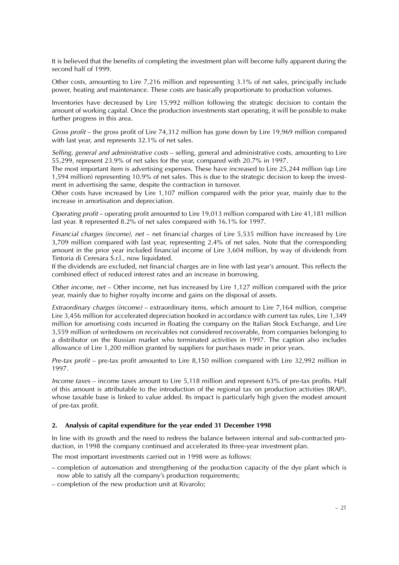It is believed that the benefits of completing the investment plan will become fully apparent during the second half of 1999.

Other costs, amounting to Lire 7,216 million and representing 3.1% of net sales, principally include power, heating and maintenance. These costs are basically proportionate to production volumes.

Inventories have decreased by Lire 15,992 million following the strategic decision to contain the amount of working capital. Once the production investments start operating, it will be possible to make further progress in this area.

Gross profit – the gross profit of Lire 74,312 million has gone down by Lire 19,969 million compared with last year, and represents 32.1% of net sales.

Selling, general and administrative costs – selling, general and administrative costs, amounting to Lire 55,299, represent 23.9% of net sales for the year, compared with 20.7% in 1997.

The most important item is advertising expenses. These have increased to Lire 25,244 million (up Lire 1,594 million) representing 10.9% of net sales. This is due to the strategic decision to keep the investment in advertising the same, despite the contraction in turnover.

Other costs have increased by Lire 1,107 million compared with the prior year, mainly due to the increase in amortisation and depreciation.

Operating profit – operating profit amounted to Lire 19,013 million compared with Lire 41,181 million last year. It represented 8.2% of net sales compared with 16.1% for 1997.

Financial charges (income), net – net financial charges of Lire 5,535 million have increased by Lire 3,709 million compared with last year, representing 2.4% of net sales. Note that the corresponding amount in the prior year included financial income of Lire 3,604 million, by way of dividends from Tintoria di Ceresara S.r.l., now liquidated.

If the dividends are excluded, net financial charges are in line with last year's amount. This reflects the combined effect of reduced interest rates and an increase in borrowing.

Other income, net – Other income, net has increased by Lire 1,127 million compared with the prior year, mainly due to higher royalty income and gains on the disposal of assets.

Extraordinary charges (income) – extraordinary items, which amount to Lire 7,164 million, comprise Lire 3,456 million for accelerated depreciation booked in accordance with current tax rules, Lire 1,349 million for amortising costs incurred in floating the company on the Italian Stock Exchange, and Lire 3,559 million of writedowns on receivables not considered recoverable, from companies belonging to a distributor on the Russian market who terminated activities in 1997. The caption also includes allowance of Lire 1,200 million granted by suppliers for purchases made in prior years.

Pre-tax profit – pre-tax profit amounted to Lire 8,150 million compared with Lire 32,992 million in 1997.

Income taxes – income taxes amount to Lire 5,118 million and represent 63% of pre-tax profits. Half of this amount is attributable to the introduction of the regional tax on production activities (IRAP), whose taxable base is linked to value added. Its impact is particularly high given the modest amount of pre-tax profit.

#### **2. Analysis of capital expenditure for the year ended 31 December 1998**

In line with its growth and the need to redress the balance between internal and sub-contracted production, in 1998 the company continued and accelerated its three-year investment plan.

The most important investments carried out in 1998 were as follows:

- completion of automation and strengthening of the production capacity of the dye plant which is now able to satisfy all the company's production requirements;
- completion of the new production unit at Rivarolo;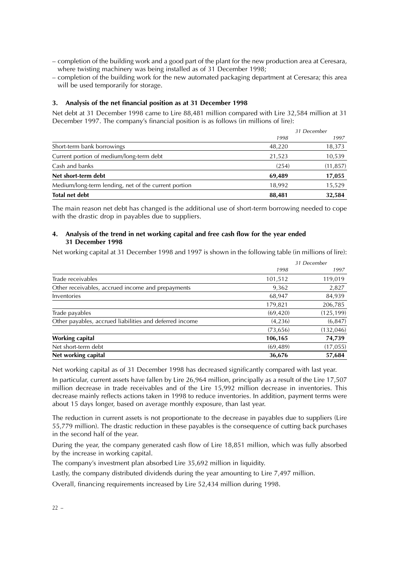- completion of the building work and a good part of the plant for the new production area at Ceresara, where twisting machinery was being installed as of 31 December 1998;
- completion of the building work for the new automated packaging department at Ceresara; this area will be used temporarily for storage.

#### **3. Analysis of the net financial position as at 31 December 1998**

Net debt at 31 December 1998 came to Lire 88,481 million compared with Lire 32,584 million at 31 December 1997. The company's financial position is as follows (in millions of lire):

|                                                      | 31 December |           |
|------------------------------------------------------|-------------|-----------|
|                                                      | 1998        | 1997      |
| Short-term bank borrowings                           | 48,220      | 18,373    |
| Current portion of medium/long-term debt             | 21,523      | 10,539    |
| Cash and banks                                       | (254)       | (11, 857) |
| Net short-term debt                                  | 69.489      | 17,055    |
| Medium/long-term lending, net of the current portion | 18.992      | 15,529    |
| <b>Total net debt</b>                                | 88,481      | 32,584    |

The main reason net debt has changed is the additional use of short-term borrowing needed to cope with the drastic drop in payables due to suppliers.

#### **4. Analysis of the trend in net working capital and free cash flow for the year ended 31 December 1998**

Net working capital at 31 December 1998 and 1997 is shown in the following table (in millions of lire):

|                                                         | 31 December |            |
|---------------------------------------------------------|-------------|------------|
|                                                         | 1998        | 1997       |
| Trade receivables                                       | 101,512     | 119,019    |
| Other receivables, accrued income and prepayments       | 9,362       | 2,827      |
| Inventories                                             | 68,947      | 84,939     |
|                                                         | 179,821     | 206,785    |
| Trade payables                                          | (69, 420)   | (125, 199) |
| Other payables, accrued liabilities and deferred income | (4,236)     | (6, 847)   |
|                                                         | (73, 656)   | (132, 046) |
| <b>Working capital</b>                                  | 106,165     | 74,739     |
| Net short-term debt                                     | (69, 489)   | (17,055)   |
| Net working capital                                     | 36,676      | 57,684     |

Net working capital as of 31 December 1998 has decreased significantly compared with last year.

In particular, current assets have fallen by Lire 26,964 million, principally as a result of the Lire 17,507 million decrease in trade receivables and of the Lire 15,992 million decrease in inventories. This decrease mainly reflects actions taken in 1998 to reduce inventories. In addition, payment terms were about 15 days longer, based on average monthly exposure, than last year.

The reduction in current assets is not proportionate to the decrease in payables due to suppliers (Lire 55,779 million). The drastic reduction in these payables is the consequence of cutting back purchases in the second half of the year.

During the year, the company generated cash flow of Lire 18,851 million, which was fully absorbed by the increase in working capital.

The company's investment plan absorbed Lire 35,692 million in liquidity.

Lastly, the company distributed dividends during the year amounting to Lire 7,497 million.

Overall, financing requirements increased by Lire 52,434 million during 1998.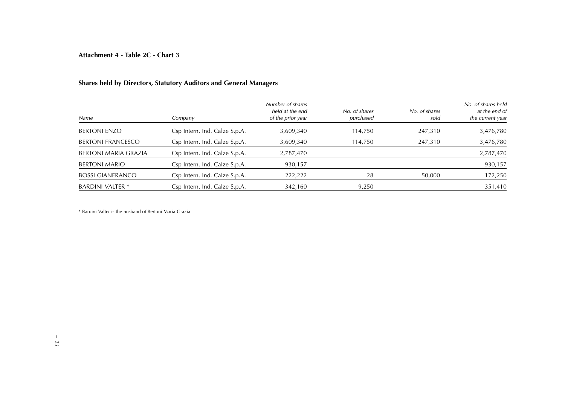**Attachment 4 - Table 2C - Chart 3**

### **Shares held by Directors, Statutory Auditors and General Managers**

| <b>Name</b>              | Company                       | Number of shares<br>held at the end<br>of the prior year | No. of shares<br>purchased | No. of shares<br>sold | No. of shares held<br>at the end of<br>the current year |
|--------------------------|-------------------------------|----------------------------------------------------------|----------------------------|-----------------------|---------------------------------------------------------|
| <b>BERTONI ENZO</b>      | Csp Intern. Ind. Calze S.p.A. | 3,609,340                                                | 114,750                    | 247,310               | 3,476,780                                               |
| <b>BERTONI FRANCESCO</b> | Csp Intern. Ind. Calze S.p.A. | 3,609,340                                                | 114,750                    | 247,310               | 3,476,780                                               |
| BERTONI MARIA GRAZIA     | Csp Intern. Ind. Calze S.p.A. | 2,787,470                                                |                            |                       | 2,787,470                                               |
| <b>BERTONI MARIO</b>     | Csp Intern. Ind. Calze S.p.A. | 930,157                                                  |                            |                       | 930,157                                                 |
| <b>BOSSI GIANFRANCO</b>  | Csp Intern. Ind. Calze S.p.A. | 222,222                                                  | 28                         | 50,000                | 172,250                                                 |
| <b>BARDINI VALTER *</b>  | Csp Intern. Ind. Calze S.p.A. | 342,160                                                  | 9,250                      |                       | 351,410                                                 |

\* Bardini Valter is the husband of Bertoni Maria Grazia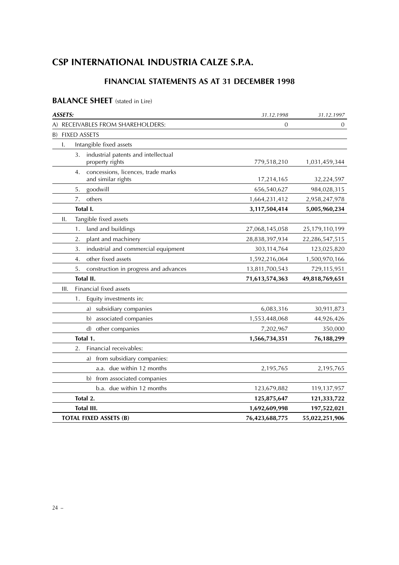## **CSP INTERNATIONAL INDUSTRIA CALZE S.P.A.**

## **FINANCIAL STATEMENTS AS AT 31 DECEMBER 1998**

## **BALANCE SHEET** (stated in Lire)

| <b>ASSETS:</b>                                                 | 31.12.1998     | 31.12.1997     |
|----------------------------------------------------------------|----------------|----------------|
| A) RECEIVABLES FROM SHAREHOLDERS:                              | $\theta$       | 0              |
| <b>FIXED ASSETS</b><br>B)                                      |                |                |
| Intangible fixed assets<br>I.                                  |                |                |
| industrial patents and intellectual<br>3.<br>property rights   | 779,518,210    | 1,031,459,344  |
| concessions, licences, trade marks<br>4.<br>and similar rights | 17,214,165     | 32,224,597     |
| goodwill<br>5.                                                 | 656,540,627    | 984,028,315    |
| others<br>7.                                                   | 1,664,231,412  | 2,958,247,978  |
| Total I.                                                       | 3,117,504,414  | 5,005,960,234  |
| Tangible fixed assets<br>ΙΙ.                                   |                |                |
| land and buildings<br>1.                                       | 27,068,145,058 | 25,179,110,199 |
| 2.<br>plant and machinery                                      | 28,838,397,934 | 22,286,547,515 |
| industrial and commercial equipment<br>3.                      | 303,114,764    | 123,025,820    |
| other fixed assets<br>4.                                       | 1,592,216,064  | 1,500,970,166  |
| 5.<br>construction in progress and advances                    | 13,811,700,543 | 729,115,951    |
| Total II.                                                      | 71,613,574,363 | 49,818,769,651 |
| Financial fixed assets<br>Ш.                                   |                |                |
| Equity investments in:<br>1.                                   |                |                |
| a) subsidiary companies                                        | 6,083,316      | 30,911,873     |
| associated companies<br>b)                                     | 1,553,448,068  | 44,926,426     |
| other companies<br>$\mathbf{d}$                                | 7,202,967      | 350,000        |
| Total 1.                                                       | 1,566,734,351  | 76,188,299     |
| Financial receivables:<br>2.                                   |                |                |
| from subsidiary companies:<br>a)                               |                |                |
| a.a. due within 12 months                                      | 2,195,765      | 2,195,765      |
| from associated companies<br>b)                                |                |                |
| b.a. due within 12 months                                      | 123,679,882    | 119,137,957    |
| Total 2.                                                       | 125,875,647    | 121,333,722    |
| Total III.                                                     | 1,692,609,998  | 197,522,021    |
| <b>TOTAL FIXED ASSETS (B)</b>                                  | 76,423,688,775 | 55,022,251,906 |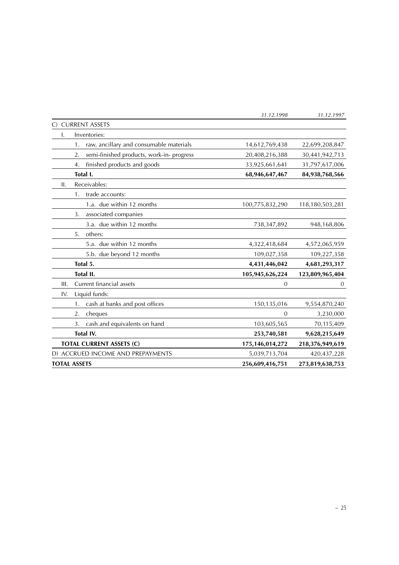|                                                 | 31.12.1998      | 31.12.1997      |
|-------------------------------------------------|-----------------|-----------------|
| <b>CURRENT ASSETS</b>                           |                 |                 |
| Inventories:<br>I.                              |                 |                 |
| raw, ancillary and consumable materials<br>1.   | 14,612,769,438  | 22,699,208,847  |
| semi-finished products, work-in- progress<br>2. | 20,408,216,388  | 30,441,942,713  |
| finished products and goods<br>4.               | 33,925,661,641  | 31,797,617,006  |
| Total I.                                        | 68,946,647,467  | 84,938,768,566  |
| Receivables:<br>ΙΙ.                             |                 |                 |
| trade accounts:<br>1.                           |                 |                 |
| 1.a. due within 12 months                       | 100,775,832,290 | 118,180,503,281 |
| associated companies<br>3.                      |                 |                 |
| 3.a. due within 12 months                       | 738,347,892     | 948,168,806     |
| others:<br>5.                                   |                 |                 |
| 5.a. due within 12 months                       | 4,322,418,684   | 4,572,065,959   |
| 5.b. due beyond 12 months                       | 109,027,358     | 109,227,358     |
| Total 5.                                        | 4,431,446,042   | 4,681,293,317   |
| Total II.                                       | 105,945,626,224 | 123,809,965,404 |
| Current financial assets<br>III.                | $\theta$        | $\theta$        |
| Liquid funds:<br>IV.                            |                 |                 |
| cash at banks and post offices<br>1.            | 150,135,016     | 9,554,870,240   |
| cheques<br>2.                                   | $\Omega$        | 3,230,000       |
| cash and equivalents on hand<br>3.              | 103,605,565     | 70,115,409      |
| Total IV.                                       | 253,740,581     | 9,628,215,649   |
| <b>TOTAL CURRENT ASSETS (C)</b>                 | 175,146,014,272 | 218,376,949,619 |
| D) ACCRUED INCOME AND PREPAYMENTS               | 5,039,713,704   | 420, 437, 228   |
| <b>TOTAL ASSETS</b>                             | 256,609,416,751 | 273,819,638,753 |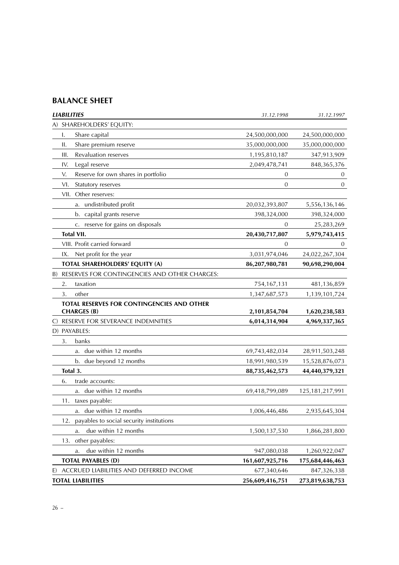## **BALANCE SHEET**

| <b>LIABILITIES</b>                                               | 31.12.1998      | 31.12.1997         |
|------------------------------------------------------------------|-----------------|--------------------|
| A) SHAREHOLDERS' EQUITY:                                         |                 |                    |
| I.<br>Share capital                                              | 24,500,000,000  | 24,500,000,000     |
| Share premium reserve<br>ΙΙ.                                     | 35,000,000,000  | 35,000,000,000     |
| Ш.<br>Revaluation reserves                                       | 1,195,810,187   | 347,913,909        |
| Legal reserve<br>IV.                                             | 2,049,478,741   | 848, 365, 376      |
| V.<br>Reserve for own shares in portfolio                        | 0               | 0                  |
| VI.<br>Statutory reserves                                        | 0               | 0                  |
| VII. Other reserves:                                             |                 |                    |
| a. undistributed profit                                          | 20,032,393,807  | 5,556,136,146      |
| b. capital grants reserve                                        | 398,324,000     | 398,324,000        |
| c. reserve for gains on disposals                                | 0               | 25,283,269         |
| <b>Total VII.</b>                                                | 20,430,717,807  | 5,979,743,415      |
| VIII. Profit carried forward                                     | 0               | $\cup$             |
| Net profit for the year<br>IX.                                   | 3,031,974,046   | 24,022,267,304     |
| TOTAL SHAREHOLDERS' EQUITY (A)                                   | 86,207,980,781  | 90,698,290,004     |
| RESERVES FOR CONTINGENCIES AND OTHER CHARGES:<br>B)              |                 |                    |
| taxation<br>2.                                                   | 754,167,131     | 481,136,859        |
| 3.<br>other                                                      | 1,347,687,573   | 1,139,101,724      |
| TOTAL RESERVES FOR CONTINGENCIES AND OTHER<br><b>CHARGES (B)</b> | 2,101,854,704   | 1,620,238,583      |
| RESERVE FOR SEVERANCE INDEMNITIES<br>C)                          | 6,014,314,904   | 4,969,337,365      |
| D) PAYABLES:                                                     |                 |                    |
| 3.<br>banks                                                      |                 |                    |
| a. due within 12 months                                          | 69,743,482,034  | 28,911,503,248     |
| b. due beyond 12 months                                          | 18,991,980,539  | 15,528,876,073     |
| Total 3.                                                         | 88,735,462,573  | 44,440,379,321     |
| trade accounts:<br>6.                                            |                 |                    |
| a. due within 12 months                                          | 69,418,799,089  | 125, 181, 217, 991 |
| taxes payable:<br>11.                                            |                 |                    |
| a. due within 12 months                                          | 1,006,446,486   | 2,935,645,304      |
| payables to social security institutions<br>12.                  |                 |                    |
| due within 12 months<br>a.                                       | 1,500,137,530   | 1,866,281,800      |
| other payables:<br>13.                                           |                 |                    |
| due within 12 months<br>a.                                       | 947,080,038     | 1,260,922,047      |
| <b>TOTAL PAYABLES (D)</b>                                        | 161,607,925,716 | 175,684,446,463    |
| E)<br>ACCRUED LIABILITIES AND DEFERRED INCOME                    | 677,340,646     | 847,326,338        |
| <b>TOTAL LIABILITIES</b>                                         | 256,609,416,751 | 273,819,638,753    |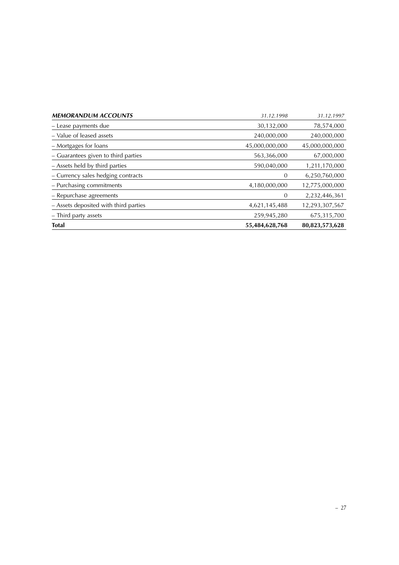| <b>MEMORANDUM ACCOUNTS</b>            | 31.12.1998     | 31.12.1997     |
|---------------------------------------|----------------|----------------|
| - Lease payments due                  | 30,132,000     | 78,574,000     |
| - Value of leased assets              | 240,000,000    | 240,000,000    |
| – Mortgages for loans                 | 45,000,000,000 | 45,000,000,000 |
| - Guarantees given to third parties   | 563,366,000    | 67,000,000     |
| - Assets held by third parties        | 590,040,000    | 1,211,170,000  |
| - Currency sales hedging contracts    | $\theta$       | 6,250,760,000  |
| - Purchasing commitments              | 4,180,000,000  | 12,775,000,000 |
| - Repurchase agreements               | 0              | 2,232,446,361  |
| - Assets deposited with third parties | 4,621,145,488  | 12,293,307,567 |
| - Third party assets                  | 259,945,280    | 675,315,700    |
| <b>Total</b>                          | 55,484,628,768 | 80,823,573,628 |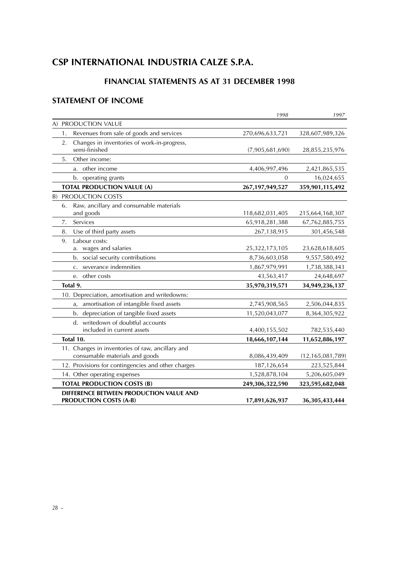## **CSP INTERNATIONAL INDUSTRIA CALZE S.P.A.**

## **FINANCIAL STATEMENTS AS AT 31 DECEMBER 1998**

## **STATEMENT OF INCOME**

|                                                    | 1998               | 1997                |
|----------------------------------------------------|--------------------|---------------------|
| A) PRODUCTION VALUE                                |                    |                     |
| Revenues from sale of goods and services<br>1.     | 270,696,633,721    | 328,607,989,326     |
| Changes in inventories of work-in-progress,<br>2.  |                    |                     |
| semi-finished                                      | (7,905,681,690)    | 28,855,235,976      |
| Other income:<br>5.                                |                    |                     |
| a. other income                                    | 4,406,997,496      | 2,421,865,535       |
| b. operating grants                                | 0                  | 16,024,655          |
| <b>TOTAL PRODUCTION VALUE (A)</b>                  | 267, 197, 949, 527 | 359,901,115,492     |
| <b>B) PRODUCTION COSTS</b>                         |                    |                     |
| Raw, ancillary and consumable materials<br>6.      |                    |                     |
| and goods                                          | 118,682,031,405    | 215,664,168,307     |
| Services<br>7.                                     | 65,918,281,388     | 67,762,885,755      |
| 8.<br>Use of third party assets                    | 267,138,915        | 301,456,548         |
| Labour costs:<br>9.                                |                    |                     |
| a. wages and salaries                              | 25,322,173,105     | 23,628,618,605      |
| b. social security contributions                   | 8,736,603,058      | 9,557,580,492       |
| severance indemnities<br>$C_{\star}$               | 1,867,979,991      | 1,738,388,343       |
| other costs<br>e.                                  | 43,563,417         | 24,648,697          |
| Total 9.                                           | 35,970,319,571     | 34,949,236,137      |
| 10. Depreciation, amortisation and writedowns:     |                    |                     |
| amortisation of intangible fixed assets<br>a,      | 2,745,908,565      | 2,506,044,835       |
| b. depreciation of tangible fixed assets           | 11,520,043,077     | 8,364,305,922       |
| d. writedown of doubtful accounts                  |                    |                     |
| included in current assets                         | 4,400,155,502      | 782,535,440         |
| Total 10.                                          | 18,666,107,144     | 11,652,886,197      |
| 11. Changes in inventories of raw, ancillary and   |                    |                     |
| consumable materials and goods                     | 8,086,439,409      | (12, 165, 081, 789) |
| 12. Provisions for contingencies and other charges | 187,126,654        | 223,525,844         |
| 14. Other operating expenses                       | 1,528,878,104      | 5,206,605,049       |
| <b>TOTAL PRODUCTION COSTS (B)</b>                  | 249,306,322,590    | 323,595,682,048     |
| DIFFERENCE BETWEEN PRODUCTION VALUE AND            |                    |                     |
| <b>PRODUCTION COSTS (A-B)</b>                      | 17,891,626,937     | 36, 305, 433, 444   |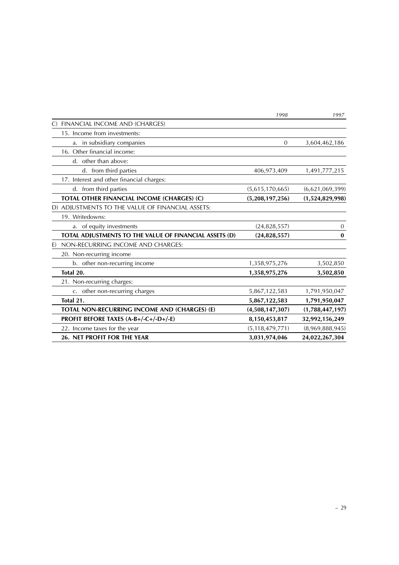|                                                        | 1998               | 1997            |
|--------------------------------------------------------|--------------------|-----------------|
| FINANCIAL INCOME AND (CHARGES)<br>$\mathcal{C}$        |                    |                 |
| 15. Income from investments:                           |                    |                 |
| a. in subsidiary companies                             | $\overline{0}$     | 3,604,462,186   |
| 16. Other financial income:                            |                    |                 |
| d. other than above:                                   |                    |                 |
| d. from third parties                                  | 406,973,409        | 1,491,777,215   |
| 17. Interest and other financial charges:              |                    |                 |
| d. from third parties                                  | (5,615,170,665)    | (6,621,069,399) |
| TOTAL OTHER FINANCIAL INCOME (CHARGES) (C)             | (5,208,197,256)    | (1,524,829,998) |
| D) ADJUSTMENTS TO THE VALUE OF FINANCIAL ASSETS:       |                    |                 |
| 19. Writedowns:                                        |                    |                 |
| a. of equity investments                               | (24,828,557)       | $\theta$        |
| TOTAL ADJUSTMENTS TO THE VALUE OF FINANCIAL ASSETS (D) | (24, 828, 557)     | $\bf{0}$        |
| NON-RECURRING INCOME AND CHARGES:<br>E)                |                    |                 |
| 20. Non-recurring income                               |                    |                 |
| b. other non-recurring income                          | 1,358,975,276      | 3,502,850       |
| Total 20.                                              | 1,358,975,276      | 3,502,850       |
| 21. Non-recurring charges:                             |                    |                 |
| c. other non-recurring charges                         | 5,867,122,583      | 1,791,950,047   |
| Total 21.                                              | 5,867,122,583      | 1,791,950,047   |
| TOTAL NON-RECURRING INCOME AND (CHARGES) (E)           | (4,508,147,307)    | (1,788,447,197) |
| PROFIT BEFORE TAXES (A-B+/-C+/-D+/-E)                  | 8,150,453,817      | 32,992,156,249  |
| 22. Income taxes for the year                          | (5, 118, 479, 771) | (8,969,888,945) |
| 26. NET PROFIT FOR THE YEAR                            | 3,031,974,046      | 24,022,267,304  |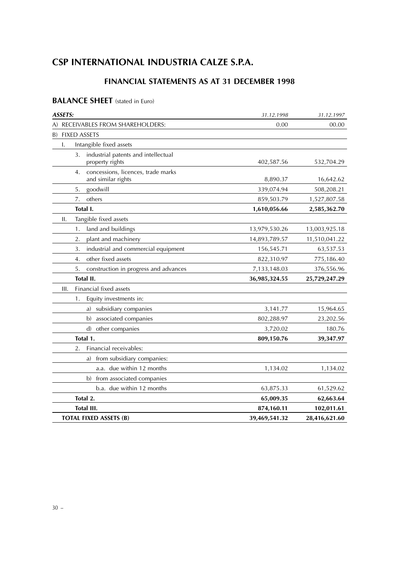## **CSP INTERNATIONAL INDUSTRIA CALZE S.P.A.**

## **FINANCIAL STATEMENTS AS AT 31 DECEMBER 1998**

## **BALANCE SHEET** (stated in Euro)

| <b>ASSETS:</b>                                                 | 31.12.1998    | 31.12.1997    |
|----------------------------------------------------------------|---------------|---------------|
| A) RECEIVABLES FROM SHAREHOLDERS:                              | 0.00          | 00.00         |
| <b>FIXED ASSETS</b><br>B)                                      |               |               |
| Intangible fixed assets<br>I.                                  |               |               |
| industrial patents and intellectual<br>3.<br>property rights   | 402,587.56    | 532,704.29    |
| concessions, licences, trade marks<br>4.<br>and similar rights | 8,890.37      | 16,642.62     |
| goodwill<br>5.                                                 | 339,074.94    | 508,208.21    |
| others<br>7.                                                   | 859,503.79    | 1,527,807.58  |
| Total I.                                                       | 1,610,056.66  | 2,585,362.70  |
| Tangible fixed assets<br>ΙΙ.                                   |               |               |
| land and buildings<br>1.                                       | 13,979,530.26 | 13,003,925.18 |
| 2.<br>plant and machinery                                      | 14,893,789.57 | 11,510,041.22 |
| industrial and commercial equipment<br>3.                      | 156,545.71    | 63,537.53     |
| other fixed assets<br>4.                                       | 822,310.97    | 775,186.40    |
| construction in progress and advances<br>5.                    | 7,133,148.03  | 376,556.96    |
| Total II.                                                      | 36,985,324.55 | 25,729,247.29 |
| Financial fixed assets<br>Ш.                                   |               |               |
| Equity investments in:<br>1.                                   |               |               |
| a) subsidiary companies                                        | 3,141.77      | 15,964.65     |
| associated companies<br>b)                                     | 802,288.97    | 23,202.56     |
| other companies<br>$\mathbf{d}$                                | 3,720.02      | 180.76        |
| Total 1.                                                       | 809,150.76    | 39,347.97     |
| Financial receivables:<br>2.                                   |               |               |
| from subsidiary companies:<br>a)                               |               |               |
| a.a. due within 12 months                                      | 1,134.02      | 1,134.02      |
| from associated companies<br>b)                                |               |               |
| b.a. due within 12 months                                      | 63,875.33     | 61,529.62     |
| Total 2.                                                       | 65,009.35     | 62,663.64     |
| Total III.                                                     | 874,160.11    | 102,011.61    |
| <b>TOTAL FIXED ASSETS (B)</b>                                  | 39,469,541.32 | 28,416,621.60 |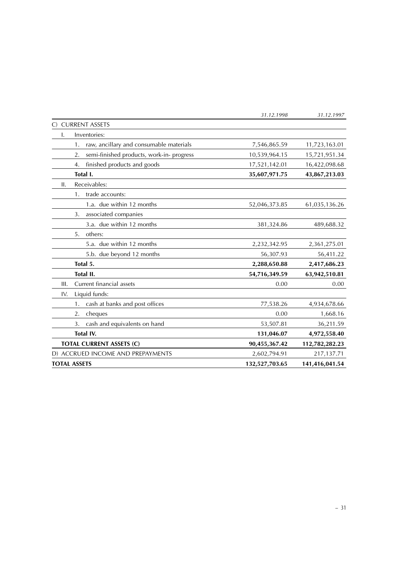| <b>TOTAL ASSETS</b>                             | 132,527,703.65 | 141,416,041.54 |
|-------------------------------------------------|----------------|----------------|
| D) ACCRUED INCOME AND PREPAYMENTS               | 2,602,794.91   | 217,137.71     |
| <b>TOTAL CURRENT ASSETS (C)</b>                 | 90,455,367.42  | 112,782,282.23 |
| Total IV.                                       | 131,046.07     | 4,972,558.40   |
| cash and equivalents on hand<br>3.              | 53,507.81      | 36,211.59      |
| cheques<br>2.                                   | 0.00           | 1,668.16       |
| cash at banks and post offices<br>1.            | 77,538.26      | 4,934,678.66   |
| Liquid funds:<br>IV.                            |                |                |
| Current financial assets<br>III.                | 0.00           | 0.00           |
| Total II.                                       | 54,716,349.59  | 63,942,510.81  |
| Total 5.                                        | 2,288,650.88   | 2,417,686.23   |
| 5.b. due beyond 12 months                       | 56,307.93      | 56,411.22      |
| 5.a. due within 12 months                       | 2,232,342.95   | 2,361,275.01   |
| others:<br>5.                                   |                |                |
| 3.a. due within 12 months                       | 381,324.86     | 489,688.32     |
| associated companies<br>3.                      |                |                |
| 1.a. due within 12 months                       | 52,046,373.85  | 61,035,136.26  |
| trade accounts:<br>1.                           |                |                |
| Receivables:<br>II.                             |                |                |
| Total I.                                        | 35,607,971.75  | 43,867,213.03  |
| finished products and goods<br>4.               | 17,521,142.01  | 16,422,098.68  |
| semi-finished products, work-in- progress<br>2. | 10,539,964.15  | 15,721,951.34  |
| raw, ancillary and consumable materials<br>1.   | 7,546,865.59   | 11,723,163.01  |
| Inventories:<br>I.                              |                |                |
| C) CURRENT ASSETS                               |                |                |
|                                                 | 31.12.1998     | 31.12.1997     |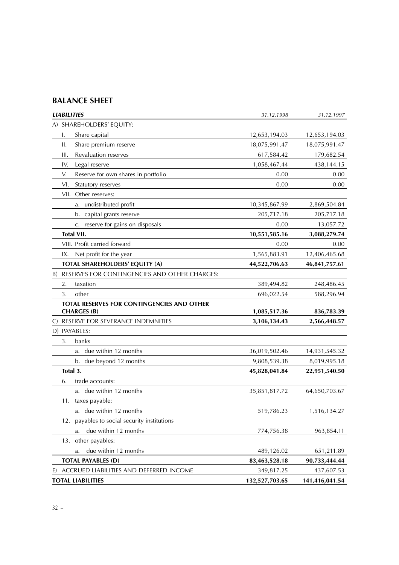## **BALANCE SHEET**

| <b>LIABILITIES</b>                                               | 31.12.1998     | 31.12.1997     |
|------------------------------------------------------------------|----------------|----------------|
| A) SHAREHOLDERS' EQUITY:                                         |                |                |
| Share capital<br>I.                                              | 12,653,194.03  | 12,653,194.03  |
| Share premium reserve<br>ΙΙ.                                     | 18,075,991.47  | 18,075,991.47  |
| Revaluation reserves<br>Ш.                                       | 617,584.42     | 179,682.54     |
| Legal reserve<br>IV.                                             | 1,058,467.44   | 438,144.15     |
| Reserve for own shares in portfolio<br>V.                        | 0.00           | 0.00           |
| VI.<br>Statutory reserves                                        | 0.00           | 0.00           |
| VII. Other reserves:                                             |                |                |
| undistributed profit<br>a.                                       | 10,345,867.99  | 2,869,504.84   |
| b. capital grants reserve                                        | 205,717.18     | 205,717.18     |
| c. reserve for gains on disposals                                | 0.00           | 13,057.72      |
| <b>Total VII.</b>                                                | 10,551,585.16  | 3,088,279.74   |
| VIII. Profit carried forward                                     | 0.00           | 0.00           |
| IX.<br>Net profit for the year                                   | 1,565,883.91   | 12,406,465.68  |
| TOTAL SHAREHOLDERS' EQUITY (A)                                   | 44,522,706.63  | 46,841,757.61  |
| B) RESERVES FOR CONTINGENCIES AND OTHER CHARGES:                 |                |                |
| taxation<br>2.                                                   | 389,494.82     | 248,486.45     |
| other<br>3.                                                      | 696,022.54     | 588,296.94     |
| TOTAL RESERVES FOR CONTINGENCIES AND OTHER<br><b>CHARGES (B)</b> | 1,085,517.36   | 836,783.39     |
| RESERVE FOR SEVERANCE INDEMNITIES<br>C)                          | 3,106,134.43   | 2,566,448.57   |
| D) PAYABLES:                                                     |                |                |
| banks<br>3.                                                      |                |                |
| due within 12 months<br>a.                                       | 36,019,502.46  | 14,931,545.32  |
| b. due beyond 12 months                                          | 9,808,539.38   | 8,019,995.18   |
| Total 3.                                                         | 45,828,041.84  | 22,951,540.50  |
| 6.<br>trade accounts:                                            |                |                |
| a. due within 12 months                                          | 35,851,817.72  | 64,650,703.67  |
| taxes payable:<br>11.                                            |                |                |
| a. due within 12 months                                          | 519,786.23     | 1,516,134.27   |
| payables to social security institutions<br>12.                  |                |                |
| due within 12 months<br>a.                                       | 774,756.38     | 963,854.11     |
| other payables:<br>13.                                           |                |                |
| due within 12 months<br>a.                                       | 489,126.02     | 651,211.89     |
| <b>TOTAL PAYABLES (D)</b>                                        | 83,463,528.18  | 90,733,444.44  |
| ACCRUED LIABILITIES AND DEFERRED INCOME<br>E)                    | 349,817.25     | 437,607.53     |
| <b>TOTAL LIABILITIES</b>                                         | 132,527,703.65 | 141,416,041.54 |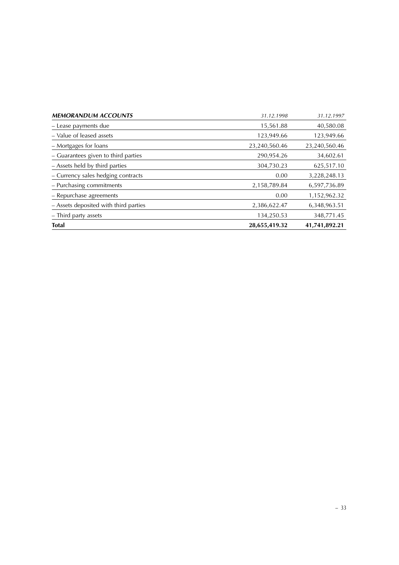| <b>MEMORANDUM ACCOUNTS</b>            | 31.12.1998    | 31.12.1997    |
|---------------------------------------|---------------|---------------|
| - Lease payments due                  | 15,561.88     | 40,580.08     |
| - Value of leased assets              | 123,949.66    | 123,949.66    |
| – Mortgages for loans                 | 23,240,560.46 | 23,240,560.46 |
| - Guarantees given to third parties   | 290,954.26    | 34,602.61     |
| - Assets held by third parties        | 304,730.23    | 625,517.10    |
| - Currency sales hedging contracts    | 0.00          | 3,228,248.13  |
| - Purchasing commitments              | 2,158,789.84  | 6,597,736.89  |
| - Repurchase agreements               | 0.00          | 1,152,962.32  |
| - Assets deposited with third parties | 2,386,622.47  | 6,348,963.51  |
| - Third party assets                  | 134,250.53    | 348,771.45    |
| <b>Total</b>                          | 28,655,419.32 | 41,741,892.21 |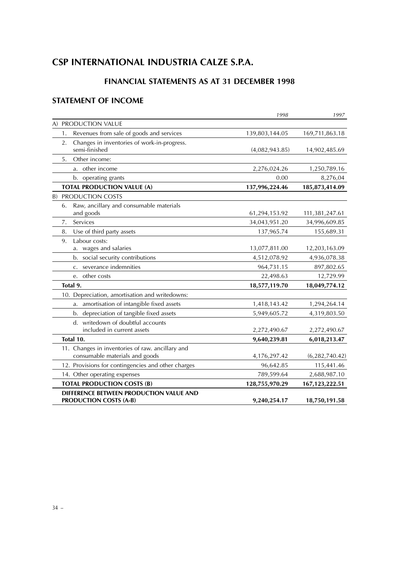## **CSP INTERNATIONAL INDUSTRIA CALZE S.P.A.**

## **FINANCIAL STATEMENTS AS AT 31 DECEMBER 1998**

## **STATEMENT OF INCOME**

|                                                    | 1998           | 1997             |
|----------------------------------------------------|----------------|------------------|
| A) PRODUCTION VALUE                                |                |                  |
| Revenues from sale of goods and services<br>1.     | 139,803,144.05 | 169,711,863.18   |
| Changes in inventories of work-in-progress.<br>2.  |                |                  |
| semi-finished                                      | (4,082,943.85) | 14,902,485.69    |
| Other income:<br>5.                                |                |                  |
| a. other income                                    | 2,276,024.26   | 1,250,789.16     |
| b. operating grants                                | 0.00           | 8,276,04         |
| <b>TOTAL PRODUCTION VALUE (A)</b>                  | 137,996,224.46 | 185,873,414.09   |
| <b>B) PRODUCTION COSTS</b>                         |                |                  |
| Raw, ancillary and consumable materials<br>6.      |                |                  |
| and goods                                          | 61,294,153.92  | 111,381,247.61   |
| Services<br>7.                                     | 34,043,951.20  | 34,996,609.85    |
| Use of third party assets<br>8.                    | 137,965.74     | 155,689.31       |
| Labour costs:<br>9.                                |                |                  |
| a. wages and salaries                              | 13,077,811.00  | 12,203,163.09    |
| social security contributions<br>b.                | 4,512,078.92   | 4,936,078.38     |
| severance indemnities<br>$C_{\star}$               | 964,731.15     | 897,802.65       |
| other costs<br>e.                                  | 22,498.63      | 12,729.99        |
| Total 9.                                           | 18,577,119.70  | 18,049,774.12    |
| 10. Depreciation, amortisation and writedowns:     |                |                  |
| a. amortisation of intangible fixed assets         | 1,418,143.42   | 1,294,264.14     |
| b. depreciation of tangible fixed assets           | 5,949,605.72   | 4,319,803.50     |
| d. writedown of doubtful accounts                  |                |                  |
| included in current assets                         | 2,272,490.67   | 2,272,490.67     |
| Total 10.                                          | 9,640,239.81   | 6,018,213.47     |
| 11. Changes in inventories of raw. ancillary and   |                |                  |
| consumable materials and goods                     | 4,176,297.42   | (6,282,740.42)   |
| 12. Provisions for contingencies and other charges | 96,642.85      | 115,441.46       |
| 14. Other operating expenses                       | 789,599.64     | 2,688,987.10     |
| <b>TOTAL PRODUCTION COSTS (B)</b>                  | 128,755,970.29 | 167, 123, 222.51 |
| DIFFERENCE BETWEEN PRODUCTION VALUE AND            |                |                  |
| <b>PRODUCTION COSTS (A-B)</b>                      | 9,240,254.17   | 18,750,191.58    |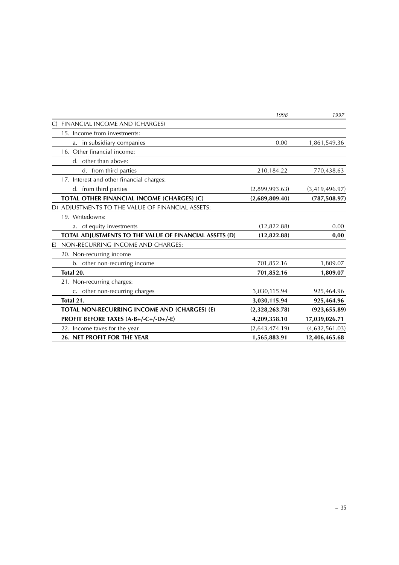|                                                        | 1998           | 1997           |
|--------------------------------------------------------|----------------|----------------|
| FINANCIAL INCOME AND (CHARGES)<br>$\mathcal{C}$        |                |                |
| 15. Income from investments:                           |                |                |
| a. in subsidiary companies                             | 0.00           | 1,861,549.36   |
| 16. Other financial income:                            |                |                |
| d. other than above:                                   |                |                |
| d. from third parties                                  | 210,184.22     | 770,438.63     |
| 17. Interest and other financial charges:              |                |                |
| d. from third parties                                  | (2,899,993.63) | (3,419,496.97) |
| TOTAL OTHER FINANCIAL INCOME (CHARGES) (C)             | (2,689,809.40) | (787, 508.97)  |
| D) ADJUSTMENTS TO THE VALUE OF FINANCIAL ASSETS:       |                |                |
| 19. Writedowns:                                        |                |                |
| a. of equity investments                               | (12, 822.88)   | 0.00           |
| TOTAL ADJUSTMENTS TO THE VALUE OF FINANCIAL ASSETS (D) | (12,822.88)    | 0,00           |
| NON-RECURRING INCOME AND CHARGES:<br>E)                |                |                |
| 20. Non-recurring income                               |                |                |
| b. other non-recurring income                          | 701,852.16     | 1,809.07       |
| Total 20.                                              | 701,852.16     | 1,809.07       |
| 21. Non-recurring charges:                             |                |                |
| c. other non-recurring charges                         | 3,030,115.94   | 925,464.96     |
| Total 21.                                              | 3,030,115.94   | 925,464.96     |
| TOTAL NON-RECURRING INCOME AND (CHARGES) (E)           | (2,328,263.78) | (923, 655.89)  |
| PROFIT BEFORE TAXES (A-B+/-C+/-D+/-E)                  | 4,209,358.10   | 17,039,026.71  |
| 22. Income taxes for the year                          | (2,643,474.19) | (4,632,561.03) |
| 26. NET PROFIT FOR THE YEAR                            | 1,565,883.91   | 12,406,465.68  |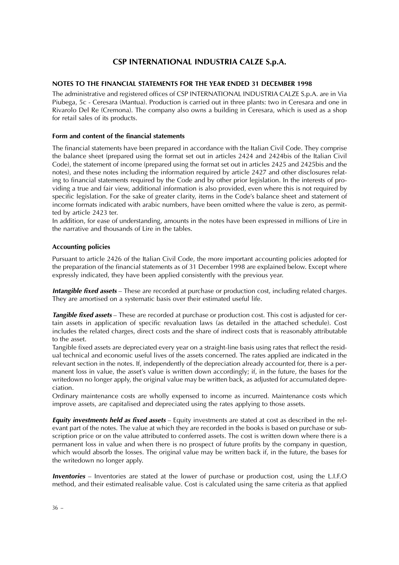## **CSP INTERNATIONAL INDUSTRIA CALZE S.p.A.**

#### **NOTES TO THE FINANCIAL STATEMENTS FOR THE YEAR ENDED 31 DECEMBER 1998**

The administrative and registered offices of CSP INTERNATIONAL INDUSTRIA CALZE S.p.A. are in Via Piubega, 5c - Ceresara (Mantua). Production is carried out in three plants: two in Ceresara and one in Rivarolo Del Re (Cremona). The company also owns a building in Ceresara, which is used as a shop for retail sales of its products.

#### **Form and content of the financial statements**

The financial statements have been prepared in accordance with the Italian Civil Code. They comprise the balance sheet (prepared using the format set out in articles 2424 and 2424bis of the Italian Civil Code), the statement of income (prepared using the format set out in articles 2425 and 2425bis and the notes), and these notes including the information required by article 2427 and other disclosures relating to financial statements required by the Code and by other prior legislation. In the interests of providing a true and fair view, additional information is also provided, even where this is not required by specific legislation. For the sake of greater clarity, items in the Code's balance sheet and statement of income formats indicated with arabic numbers, have been omitted where the value is zero, as permitted by article 2423 ter.

In addition, for ease of understanding, amounts in the notes have been expressed in millions of Lire in the narrative and thousands of Lire in the tables.

#### **Accounting policies**

Pursuant to article 2426 of the Italian Civil Code, the more important accounting policies adopted for the preparation of the financial statements as of 31 December 1998 are explained below. Except where expressly indicated, they have been applied consistently with the previous year.

**Intangible fixed assets** – These are recorded at purchase or production cost, including related charges. They are amortised on a systematic basis over their estimated useful life.

**Tangible fixed assets** – These are recorded at purchase or production cost. This cost is adjusted for certain assets in application of specific revaluation laws (as detailed in the attached schedule). Cost includes the related charges, direct costs and the share of indirect costs that is reasonably attributable to the asset.

Tangible fixed assets are depreciated every year on a straight-line basis using rates that reflect the residual technical and economic useful lives of the assets concerned. The rates applied are indicated in the relevant section in the notes. If, independently of the depreciation already accounted for, there is a permanent loss in value, the asset's value is written down accordingly; if, in the future, the bases for the writedown no longer apply, the original value may be written back, as adjusted for accumulated depreciation.

Ordinary maintenance costs are wholly expensed to income as incurred. Maintenance costs which improve assets, are capitalised and depreciated using the rates applying to those assets.

**Equity investments held as fixed assets** – Equity investments are stated at cost as described in the relevant part of the notes. The value at which they are recorded in the books is based on purchase or subscription price or on the value attributed to conferred assets. The cost is written down where there is a permanent loss in value and when there is no prospect of future profits by the company in question, which would absorb the losses. The original value may be written back if, in the future, the bases for the writedown no longer apply.

**Inventories** – Inventories are stated at the lower of purchase or production cost, using the L.I.F.O method, and their estimated realisable value. Cost is calculated using the same criteria as that applied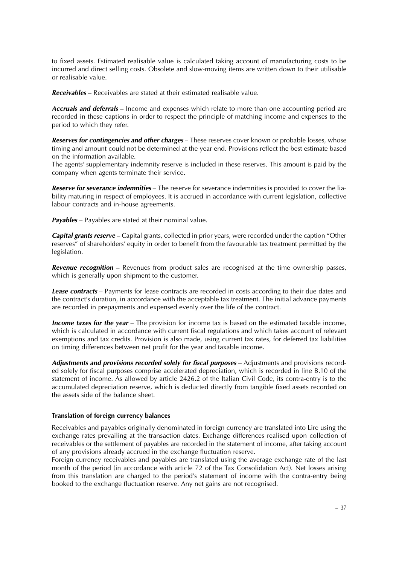to fixed assets. Estimated realisable value is calculated taking account of manufacturing costs to be incurred and direct selling costs. Obsolete and slow-moving items are written down to their utilisable or realisable value.

**Receivables** – Receivables are stated at their estimated realisable value.

**Accruals and deferrals** – Income and expenses which relate to more than one accounting period are recorded in these captions in order to respect the principle of matching income and expenses to the period to which they refer.

**Reserves for contingencies and other charges** – These reserves cover known or probable losses, whose timing and amount could not be determined at the year end. Provisions reflect the best estimate based on the information available.

The agents' supplementary indemnity reserve is included in these reserves. This amount is paid by the company when agents terminate their service.

**Reserve for severance indemnities** – The reserve for severance indemnities is provided to cover the liability maturing in respect of employees. It is accrued in accordance with current legislation, collective labour contracts and in-house agreements.

**Payables** – Payables are stated at their nominal value.

**Capital grants reserve** – Capital grants, collected in prior years, were recorded under the caption "Other reserves" of shareholders' equity in order to benefit from the favourable tax treatment permitted by the legislation.

**Revenue recognition** – Revenues from product sales are recognised at the time ownership passes, which is generally upon shipment to the customer.

**Lease contracts** – Payments for lease contracts are recorded in costs according to their due dates and the contract's duration, in accordance with the acceptable tax treatment. The initial advance payments are recorded in prepayments and expensed evenly over the life of the contract.

**Income taxes for the year** – The provision for income tax is based on the estimated taxable income, which is calculated in accordance with current fiscal regulations and which takes account of relevant exemptions and tax credits. Provision is also made, using current tax rates, for deferred tax liabilities on timing differences between net profit for the year and taxable income.

**Adjustments and provisions recorded solely for fiscal purposes** – Adjustments and provisions recorded solely for fiscal purposes comprise accelerated depreciation, which is recorded in line B.10 of the statement of income. As allowed by article 2426.2 of the Italian Civil Code, its contra-entry is to the accumulated depreciation reserve, which is deducted directly from tangible fixed assets recorded on the assets side of the balance sheet.

#### **Translation of foreign currency balances**

Receivables and payables originally denominated in foreign currency are translated into Lire using the exchange rates prevailing at the transaction dates. Exchange differences realised upon collection of receivables or the settlement of payables are recorded in the statement of income, after taking account of any provisions already accrued in the exchange fluctuation reserve.

Foreign currency receivables and payables are translated using the average exchange rate of the last month of the period (in accordance with article 72 of the Tax Consolidation Act). Net losses arising from this translation are charged to the period's statement of income with the contra-entry being booked to the exchange fluctuation reserve. Any net gains are not recognised.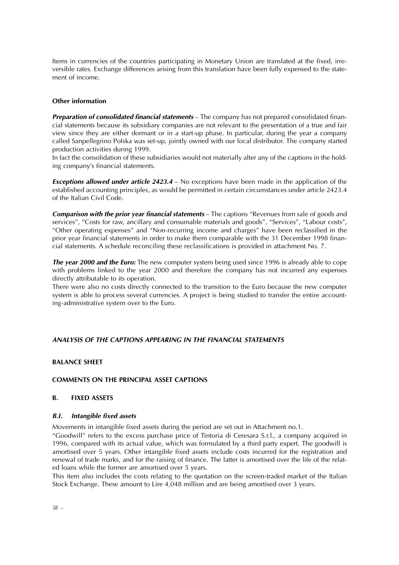Items in currencies of the countries participating in Monetary Union are translated at the fixed, irreversible rates. Exchange differences arising from this translation have been fully expensed to the statement of income.

#### **Other information**

**Preparation of consolidated financial statements** – The company has not prepared consolidated financial statements because its subsidiary companies are not relevant to the presentation of a true and fair view since they are either dormant or in a start-up phase. In particular, during the year a company called Sanpellegrino Polska was set-up, jointly owned with our local distributor. The company started production activities during 1999.

In fact the consolidation of these subsidiaries would not materially alter any of the captions in the holding company's financial statements.

**Exceptions allowed under article 2423.4** – No exceptions have been made in the application of the established accounting principles, as would be permitted in certain circumstances under article 2423.4 of the Italian Civil Code.

**Comparison with the prior year financial statements** – The captions "Revenues from sale of goods and services", "Costs for raw, ancillary and consumable materials and goods", "Services", "Labour costs", "Other operating expenses" and "Non-recurring income and charges" have been reclassified in the prior year financial statements in order to make them comparable with the 31 December 1998 financial statements. A schedule reconciling these reclassifications is provided in attachment No. 7.

**The year 2000 and the Euro:** The new computer system being used since 1996 is already able to cope with problems linked to the year 2000 and therefore the company has not incurred any expenses directly attributable to its operation.

There were also no costs directly connected to the transition to the Euro because the new computer system is able to process several currencies. A project is being studied to transfer the entire accounting-administrative system over to the Euro.

#### **ANALYSIS OF THE CAPTIONS APPEARING IN THE FINANCIAL STATEMENTS**

#### **BALANCE SHEET**

#### **COMMENTS ON THE PRINCIPAL ASSET CAPTIONS**

#### **B. FIXED ASSETS**

#### **B.I. Intangible fixed assets**

Movements in intangible fixed assets during the period are set out in Attachment no.1.

"Goodwill" refers to the excess purchase price of Tintoria di Ceresara S.r.l., a company acquired in 1996, compared with its actual value, which was formulated by a third party expert. The goodwill is amortised over 5 years. Other intangible fixed assets include costs incurred for the registration and renewal of trade marks, and for the raising of finance. The latter is amortised over the life of the related loans while the former are amortised over 5 years.

This item also includes the costs relating to the quotation on the screen-traded market of the Italian Stock Exchange. These amount to Lire 4,048 million and are being amortised over 3 years.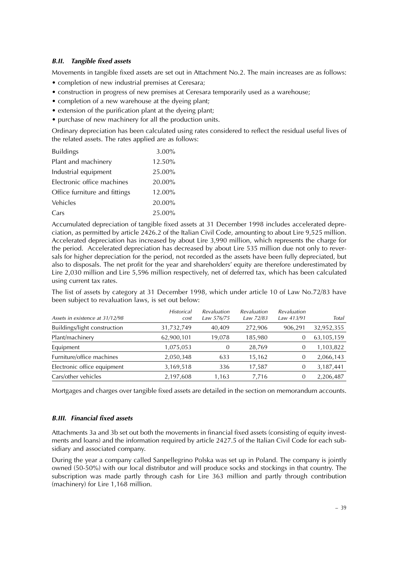#### **B.II. Tangible fixed assets**

Movements in tangible fixed assets are set out in Attachment No.2. The main increases are as follows:

- completion of new industrial premises at Ceresara;
- construction in progress of new premises at Ceresara temporarily used as a warehouse;
- completion of a new warehouse at the dyeing plant;
- extension of the purification plant at the dyeing plant;
- purchase of new machinery for all the production units.

Ordinary depreciation has been calculated using rates considered to reflect the residual useful lives of the related assets. The rates applied are as follows:

| <b>Buildings</b>              | 3.00%  |
|-------------------------------|--------|
| Plant and machinery           | 12.50% |
| Industrial equipment          | 25.00% |
| Electronic office machines    | 20.00% |
| Office furniture and fittings | 12.00% |
| Vehicles                      | 20.00% |
| Cars                          | 25.00% |

Accumulated depreciation of tangible fixed assets at 31 December 1998 includes accelerated depreciation, as permitted by article 2426.2 of the Italian Civil Code, amounting to about Lire 9,525 million. Accelerated depreciation has increased by about Lire 3,990 million, which represents the charge for the period. Accelerated depreciation has decreased by about Lire 535 million due not only to reversals for higher depreciation for the period, not recorded as the assets have been fully depreciated, but also to disposals. The net profit for the year and shareholders' equity are therefore underestimated by Lire 2,030 million and Lire 5,596 million respectively, net of deferred tax, which has been calculated using current tax rates.

The list of assets by category at 31 December 1998, which under article 10 of Law No.72/83 have been subject to revaluation laws, is set out below:

| Assets in existence at 31/12/98 | <b>Historical</b><br>cost | <i><b>Revaluation</b></i><br>Law 576/75 | Revaluation<br>Law 72/83 | <b>Revaluation</b><br>Law 413/91 | Total      |
|---------------------------------|---------------------------|-----------------------------------------|--------------------------|----------------------------------|------------|
| Buildings/light construction    | 31,732,749                | 40,409                                  | 272,906                  | 906.291                          | 32,952,355 |
| Plant/machinery                 | 62,900,101                | 19.078                                  | 185,980                  | O                                | 63,105,159 |
| Equipment                       | 1,075,053                 | $\Omega$                                | 28,769                   | 0                                | 1,103,822  |
| Furniture/office machines       | 2,050,348                 | 633                                     | 15,162                   | 0                                | 2,066,143  |
| Electronic office equipment     | 3,169,518                 | 336                                     | 17,587                   | 0                                | 3,187,441  |
| Cars/other vehicles             | 2,197,608                 | 1,163                                   | 7.716                    | 0                                | 2,206,487  |

Mortgages and charges over tangible fixed assets are detailed in the section on memorandum accounts.

#### **B.III. Financial fixed assets**

Attachments 3a and 3b set out both the movements in financial fixed assets (consisting of equity investments and loans) and the information required by article 2427.5 of the Italian Civil Code for each subsidiary and associated company.

During the year a company called Sanpellegrino Polska was set up in Poland. The company is jointly owned (50-50%) with our local distributor and will produce socks and stockings in that country. The subscription was made partly through cash for Lire 363 million and partly through contribution (machinery) for Lire 1,168 million.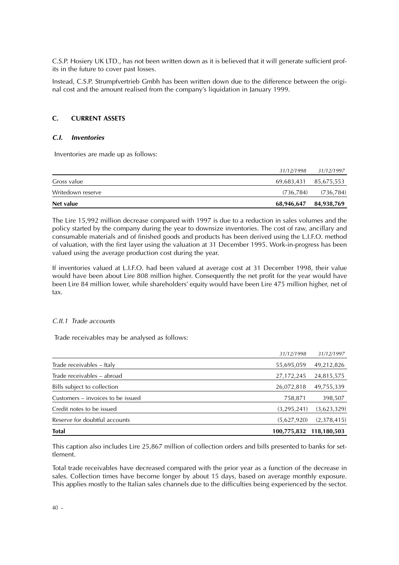C.S.P. Hosiery UK LTD., has not been written down as it is believed that it will generate sufficient profits in the future to cover past losses.

Instead, C.S.P. Strumpfvertrieb Gmbh has been written down due to the difference between the original cost and the amount realised from the company's liquidation in January 1999.

#### **C. CURRENT ASSETS**

#### **C.I. Inventories**

Inventories are made up as follows:

| Net value         | 68,946,647            | 84,938,769            |
|-------------------|-----------------------|-----------------------|
| Writedown reserve | (736.784)             | (736, 784)            |
| Gross value       | 69,683,431 85,675,553 |                       |
|                   |                       | 31/12/1998 31/12/1997 |

The Lire 15,992 million decrease compared with 1997 is due to a reduction in sales volumes and the policy started by the company during the year to downsize inventories. The cost of raw, ancillary and consumable materials and of finished goods and products has been derived using the L.I.F.O. method of valuation, with the first layer using the valuation at 31 December 1995. Work-in-progress has been valued using the average production cost during the year.

If inventories valued at L.I.F.O. had been valued at average cost at 31 December 1998, their value would have been about Lire 808 million higher. Consequently the net profit for the year would have been Lire 84 million lower, while shareholders' equity would have been Lire 475 million higher, net of tax.

#### C.II.1 Trade accounts

Trade receivables may be analysed as follows:

| <b>Total</b>                      | 100,775,832  | 118,180,503 |
|-----------------------------------|--------------|-------------|
| Reserve for doubtful accounts     | (5,627,920)  | (2,378,415) |
| Credit notes to be issued         | (3,295,241)  | (3,623,329) |
| Customers – invoices to be issued | 758,871      | 398,507     |
| Bills subject to collection       | 26,072,818   | 49,755,339  |
| Trade receivables - abroad        | 27, 172, 245 | 24,815,575  |
| Trade receivables - Italy         | 55,695,059   | 49,212,826  |
|                                   | 31/12/1998   | 31/12/1997  |

This caption also includes Lire 25,867 million of collection orders and bills presented to banks for settlement.

Total trade receivables have decreased compared with the prior year as a function of the decrease in sales. Collection times have become longer by about 15 days, based on average monthly exposure. This applies mostly to the Italian sales channels due to the difficulties being experienced by the sector.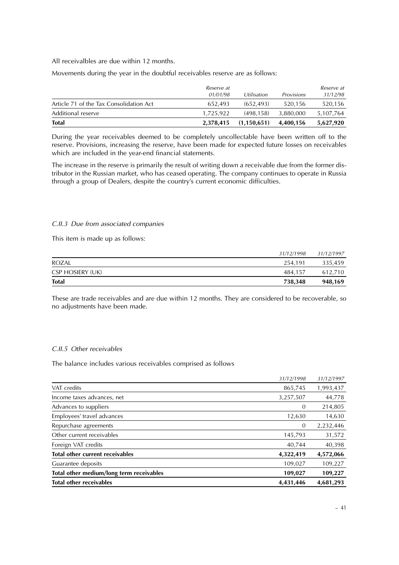All receivalbles are due within 12 months.

Movements during the year in the doubtful receivables reserve are as follows:

|                                         | <i>Reserve at</i><br>01/01/98 | Utilisation | <b>Provisions</b> | <i>Reserve at</i><br>31/12/98 |
|-----------------------------------------|-------------------------------|-------------|-------------------|-------------------------------|
| Article 71 of the Tax Consolidation Act | 652.493                       | (652.493)   | 520.156           | 520,156                       |
| Additional reserve                      | 1,725,922                     | (498.158)   | 3.880.000         | 5,107,764                     |
| <b>Total</b>                            | 2,378,415                     | (1,150,651) | 4.400.156         | 5,627,920                     |

During the year receivables deemed to be completely uncollectable have been written off to the reserve. Provisions, increasing the reserve, have been made for expected future losses on receivables which are included in the year-end financial statements.

The increase in the reserve is primarily the result of writing down a receivable due from the former distributor in the Russian market, who has ceased operating. The company continues to operate in Russia through a group of Dealers, despite the country's current economic difficulties.

#### C.II.3 Due from associated companies

This item is made up as follows:

| <b>Total</b>            | 738,348    | 948.169    |
|-------------------------|------------|------------|
| <b>CSP HOSIERY (UK)</b> | 484.157    | 612.710    |
| <b>ROZAL</b>            | 254.191    | 335,459    |
|                         | 31/12/1998 | 31/12/1997 |

These are trade receivables and are due within 12 months. They are considered to be recoverable, so no adjustments have been made.

#### C.II.5 Other receivables

The balance includes various receivables comprised as follows

| <b>Total other receivables</b>           | 4,431,446  | 4,681,293  |
|------------------------------------------|------------|------------|
| Total other medium/long term receivables | 109,027    | 109,227    |
| Guarantee deposits                       | 109,027    | 109,227    |
| <b>Total other current receivables</b>   | 4,322,419  | 4,572,066  |
| Foreign VAT credits                      | 40,744     | 40,398     |
| Other current receivables                | 145,793    | 31,572     |
| Repurchase agreements                    | $\theta$   | 2,232,446  |
| Employees' travel advances               | 12,630     | 14,630     |
| Advances to suppliers                    | $\theta$   | 214,805    |
| Income taxes advances, net               | 3,257,507  | 44,778     |
| VAT credits                              | 865,745    | 1,993,437  |
|                                          | 31/12/1998 | 31/12/1997 |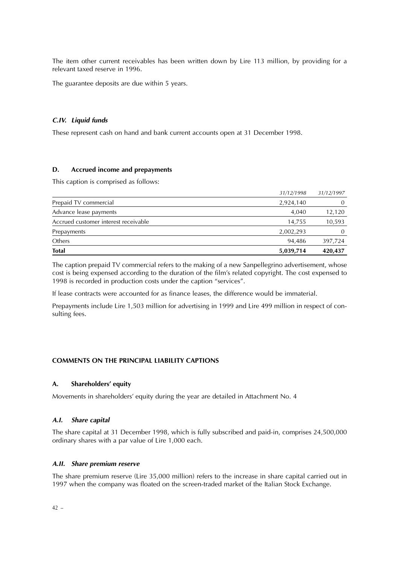The item other current receivables has been written down by Lire 113 million, by providing for a relevant taxed reserve in 1996.

The guarantee deposits are due within 5 years.

#### **C.IV. Liquid funds**

These represent cash on hand and bank current accounts open at 31 December 1998.

#### **D. Accrued income and prepayments**

This caption is comprised as follows:

| <b>Total</b>                         | 5,039,714  | 420,437    |
|--------------------------------------|------------|------------|
| Others                               | 94.486     | 397,724    |
| Prepayments                          | 2,002,293  | $\theta$   |
| Accrued customer interest receivable | 14,755     | 10,593     |
| Advance lease payments               | 4.040      | 12,120     |
| Prepaid TV commercial                | 2,924,140  |            |
|                                      | 31/12/1998 | 31/12/1997 |

The caption prepaid TV commercial refers to the making of a new Sanpellegrino advertisement, whose cost is being expensed according to the duration of the film's related copyright. The cost expensed to 1998 is recorded in production costs under the caption "services".

If lease contracts were accounted for as finance leases, the difference would be immaterial.

Prepayments include Lire 1,503 million for advertising in 1999 and Lire 499 million in respect of consulting fees.

#### **COMMENTS ON THE PRINCIPAL LIABILITY CAPTIONS**

#### **A. Shareholders' equity**

Movements in shareholders' equity during the year are detailed in Attachment No. 4

#### **A.I. Share capital**

The share capital at 31 December 1998, which is fully subscribed and paid-in, comprises 24,500,000 ordinary shares with a par value of Lire 1,000 each.

#### **A.II. Share premium reserve**

The share premium reserve (Lire 35,000 million) refers to the increase in share capital carried out in 1997 when the company was floated on the screen-traded market of the Italian Stock Exchange.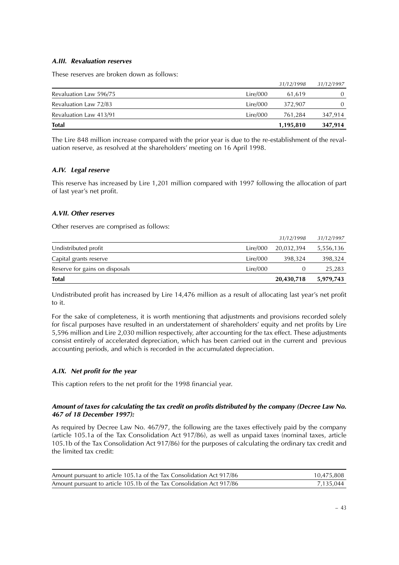#### **A.III. Revaluation reserves**

These reserves are broken down as follows:

|                        |          | 1,195,810  | 347,914    |
|------------------------|----------|------------|------------|
| <b>Total</b>           |          |            |            |
| Revaluation Law 413/91 | Lire/000 | 761.284    | 347,914    |
| Revaluation Law 72/83  | Lire/000 | 372.907    | 0          |
| Revaluation Law 596/75 | Lire/000 | 61.619     | 0          |
|                        |          | 31/12/1998 | 31/12/1997 |

The Lire 848 million increase compared with the prior year is due to the re-establishment of the revaluation reserve, as resolved at the shareholders' meeting on 16 April 1998.

#### **A.IV. Legal reserve**

This reserve has increased by Lire 1,201 million compared with 1997 following the allocation of part of last year's net profit.

#### **A.VII. Other reserves**

Other reserves are comprised as follows:

| <b>Total</b>                   |          | 20,430,718 | 5,979,743  |
|--------------------------------|----------|------------|------------|
| Reserve for gains on disposals | Lire/000 |            | 25,283     |
| Capital grants reserve         | Lire/000 | 398.324    | 398,324    |
| Undistributed profit           | Lire/000 | 20.032.394 | 5,556,136  |
|                                |          | 31/12/1998 | 31/12/1997 |

Undistributed profit has increased by Lire 14,476 million as a result of allocating last year's net profit to it.

For the sake of completeness, it is worth mentioning that adjustments and provisions recorded solely for fiscal purposes have resulted in an understatement of shareholders' equity and net profits by Lire 5,596 million and Lire 2,030 million respectively, after accounting for the tax effect. These adjustments consist entirely of accelerated depreciation, which has been carried out in the current and previous accounting periods, and which is recorded in the accumulated depreciation.

#### **A.IX. Net profit for the year**

This caption refers to the net profit for the 1998 financial year.

#### **Amount of taxes for calculating the tax credit on profits distributed by the company (Decree Law No. 467 of 18 December 1997):**

As required by Decree Law No. 467/97, the following are the taxes effectively paid by the company (article 105.1a of the Tax Consolidation Act 917/86), as well as unpaid taxes (nominal taxes, article 105.1b of the Tax Consolidation Act 917/86) for the purposes of calculating the ordinary tax credit and the limited tax credit:

| Amount pursuant to article 105.1a of the Tax Consolidation Act 917/86 | 10.475.808 |
|-----------------------------------------------------------------------|------------|
| Amount pursuant to article 105.1b of the Tax Consolidation Act 917/86 | 7.135.044  |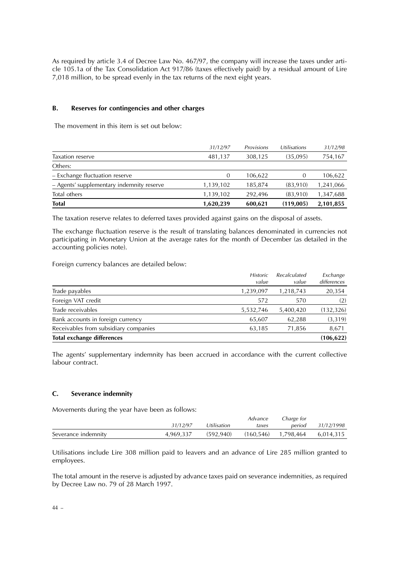As required by article 3.4 of Decree Law No. 467/97, the company will increase the taxes under article 105.1a of the Tax Consolidation Act 917/86 (taxes effectively paid) by a residual amount of Lire 7,018 million, to be spread evenly in the tax returns of the next eight years.

#### **B. Reserves for contingencies and other charges**

The movement in this item is set out below:

|                                           | 31/12/97  | Provisions | Utilisations | 31/12/98  |
|-------------------------------------------|-----------|------------|--------------|-----------|
| Taxation reserve                          | 481,137   | 308,125    | (35,095)     | 754,167   |
| Others:                                   |           |            |              |           |
| - Exchange fluctuation reserve            | $\theta$  | 106,622    | $\theta$     | 106,622   |
| - Agents' supplementary indemnity reserve | 1,139,102 | 185,874    | (83.910)     | 1,241,066 |
| Total others                              | 1,139,102 | 292.496    | (83.910)     | 1,347,688 |
| <b>Total</b>                              | 1,620,239 | 600.621    | (119,005)    | 2,101,855 |

The taxation reserve relates to deferred taxes provided against gains on the disposal of assets.

The exchange fluctuation reserve is the result of translating balances denominated in currencies not participating in Monetary Union at the average rates for the month of December (as detailed in the accounting policies note).

Foreign currency balances are detailed below:

|                                       | <b>Historic</b><br>value | Recalculated<br>value | Exchange<br>differences |
|---------------------------------------|--------------------------|-----------------------|-------------------------|
| Trade payables                        | 1,239,097                | 1,218,743             | 20,354                  |
| Foreign VAT credit                    | 572                      | 570                   | (2)                     |
| Trade receivables                     | 5,532,746                | 5,400,420             | (132, 326)              |
| Bank accounts in foreign currency     | 65,607                   | 62,288                | (3, 319)                |
| Receivables from subsidiary companies | 63,185                   | 71,856                | 8,671                   |
| <b>Total exchange differences</b>     |                          |                       | (106, 622)              |

The agents' supplementary indemnity has been accrued in accordance with the current collective labour contract.

#### **C. Severance indemnity**

Movements during the year have been as follows:

|                     |           |             | Advance | Charge for             |            |
|---------------------|-----------|-------------|---------|------------------------|------------|
|                     | 31/12/97  | Utilisation | taxes   | period                 | 31/12/1998 |
| Severance indemnity | 4.969.337 | (592.940)   |         | $(160, 546)$ 1,798,464 | 6.014.315  |

Utilisations include Lire 308 million paid to leavers and an advance of Lire 285 million granted to employees.

The total amount in the reserve is adjusted by advance taxes paid on severance indemnities, as required by Decree Law no. 79 of 28 March 1997.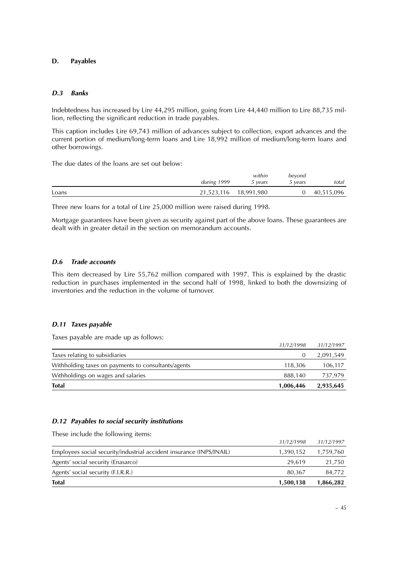#### **D. Payables**

#### **D.3 Banks**

Indebtedness has increased by Lire 44,295 million, going from Lire 44,440 million to Lire 88,735 million, reflecting the significant reduction in trade payables.

This caption includes Lire 69,743 million of advances subject to collection, export advances and the current portion of medium/long-term loans and Lire 18,992 million of medium/long-term loans and other borrowings.

The due dates of the loans are set out below:

|       |             | within                | beyond  |            |
|-------|-------------|-----------------------|---------|------------|
|       | during 1999 | 5 vears               | 5 vears | total      |
| Loans |             | 21,523,116 18,991,980 |         | 40,515,096 |

Three new loans for a total of Lire 25,000 million were raised during 1998.

Mortgage guarantees have been given as security against part of the above loans. These guarantees are dealt with in greater detail in the section on memorandum accounts.

#### **D.6 Trade accounts**

This item decreased by Lire 55,762 million compared with 1997. This is explained by the drastic reduction in purchases implemented in the second half of 1998, linked to both the downsizing of inventories and the reduction in the volume of turnover.

#### **D.11 Taxes payable**

Taxes payable are made up as follows:

| <b>Total</b>                                        | 1,006,446  | 2,935,645  |
|-----------------------------------------------------|------------|------------|
| Withholdings on wages and salaries                  | 888.140    | 737,979    |
| Withholding taxes on payments to consultants/agents | 118,306    | 106,117    |
| Taxes relating to subsidiaries                      |            | 2,091,549  |
|                                                     | 31/12/1998 | 31/12/1997 |

#### **D.12 Payables to social security institutions**

These include the following items:

| <b>Total</b>                                                         | 1,500,138  | 1,866,282  |
|----------------------------------------------------------------------|------------|------------|
| Agents' social security (F.I.R.R.)                                   | 80.367     | 84,772     |
| Agents' social security (Enasarco)                                   | 29.619     | 21,750     |
| Employees social security/industrial accident insurance (INPS/INAIL) | 1,390,152  | 1,759,760  |
|                                                                      | 31/12/1998 | 31/12/1997 |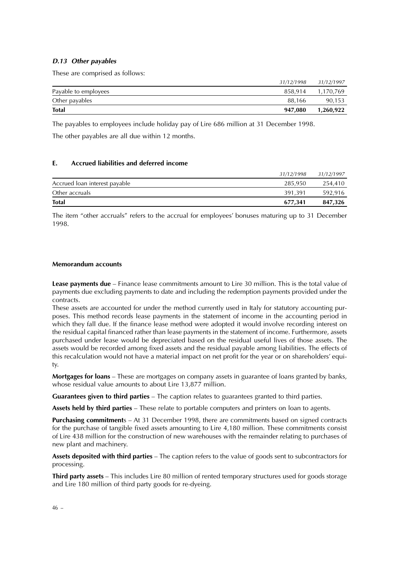#### **D.13 Other payables**

These are comprised as follows:

| <b>Total</b>         | 947,080    | 1,260,922  |
|----------------------|------------|------------|
| Other payables       | 88.166     | 90,153     |
| Payable to employees | 858.914    | 1.170.769  |
|                      | 31/12/1998 | 31/12/1997 |

The payables to employees include holiday pay of Lire 686 million at 31 December 1998.

The other payables are all due within 12 months.

#### **E. Accrued liabilities and deferred income**

| <b>Total</b>                  | 677.341    | 847,326    |
|-------------------------------|------------|------------|
| Other accruals                | 391.391    | 592.916    |
| Accrued loan interest payable | 285.950    | 254.410    |
|                               | 31/12/1998 | 31/12/1997 |

The item "other accruals" refers to the accrual for employees' bonuses maturing up to 31 December 1998.

#### **Memorandum accounts**

**Lease payments due** – Finance lease commitments amount to Lire 30 million. This is the total value of payments due excluding payments to date and including the redemption payments provided under the contracts.

These assets are accounted for under the method currently used in Italy for statutory accounting purposes. This method records lease payments in the statement of income in the accounting period in which they fall due. If the finance lease method were adopted it would involve recording interest on the residual capital financed rather than lease payments in the statement of income. Furthermore, assets purchased under lease would be depreciated based on the residual useful lives of those assets. The assets would be recorded among fixed assets and the residual payable among liabilities. The effects of this recalculation would not have a material impact on net profit for the year or on shareholders' equity.

**Mortgages for loans** – These are mortgages on company assets in guarantee of loans granted by banks, whose residual value amounts to about Lire 13,877 million.

**Guarantees given to third parties** – The caption relates to guarantees granted to third parties.

**Assets held by third parties** – These relate to portable computers and printers on loan to agents.

**Purchasing commitment**s – At 31 December 1998, there are commitments based on signed contracts for the purchase of tangible fixed assets amounting to Lire 4,180 million. These commitments consist of Lire 438 million for the construction of new warehouses with the remainder relating to purchases of new plant and machinery.

**Assets deposited with third parties** – The caption refers to the value of goods sent to subcontractors for processing.

**Third party assets** – This includes Lire 80 million of rented temporary structures used for goods storage and Lire 180 million of third party goods for re-dyeing.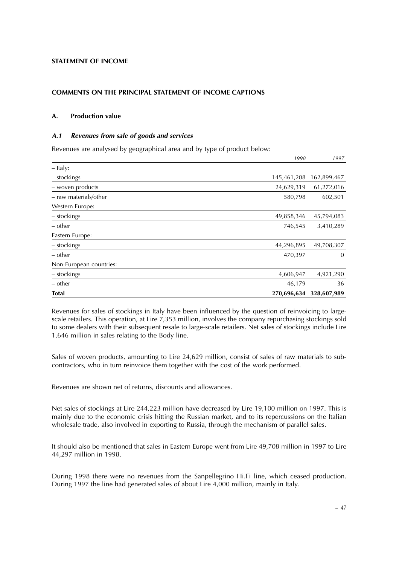#### **STATEMENT OF INCOME**

#### **COMMENTS ON THE PRINCIPAL STATEMENT OF INCOME CAPTIONS**

#### **A. Production value**

#### **A.1 Revenues from sale of goods and services**

Revenues are analysed by geographical area and by type of product below:

| <b>Total</b>            | 270,696,634 | 328,607,989 |
|-------------------------|-------------|-------------|
| – other                 | 46,179      | 36          |
| - stockings             | 4,606,947   | 4,921,290   |
| Non-European countries: |             |             |
| – other                 | 470,397     | $\theta$    |
| – stockings             | 44,296,895  | 49,708,307  |
| Eastern Europe:         |             |             |
| – other                 | 746,545     | 3,410,289   |
| - stockings             | 49,858,346  | 45,794,083  |
| Western Europe:         |             |             |
| - raw materials/other   | 580,798     | 602,501     |
| - woven products        | 24,629,319  | 61,272,016  |
| - stockings             | 145,461,208 | 162,899,467 |
| - Italy:                |             |             |
|                         | 1998        | 1997        |

Revenues for sales of stockings in Italy have been influenced by the question of reinvoicing to largescale retailers. This operation, at Lire 7,353 million, involves the company repurchasing stockings sold to some dealers with their subsequent resale to large-scale retailers. Net sales of stockings include Lire 1,646 million in sales relating to the Body line.

Sales of woven products, amounting to Lire 24,629 million, consist of sales of raw materials to subcontractors, who in turn reinvoice them together with the cost of the work performed.

Revenues are shown net of returns, discounts and allowances.

Net sales of stockings at Lire 244,223 million have decreased by Lire 19,100 million on 1997. This is mainly due to the economic crisis hitting the Russian market, and to its repercussions on the Italian wholesale trade, also involved in exporting to Russia, through the mechanism of parallel sales.

It should also be mentioned that sales in Eastern Europe went from Lire 49,708 million in 1997 to Lire 44,297 million in 1998.

During 1998 there were no revenues from the Sanpellegrino Hi.Fi line, which ceased production. During 1997 the line had generated sales of about Lire 4,000 million, mainly in Italy.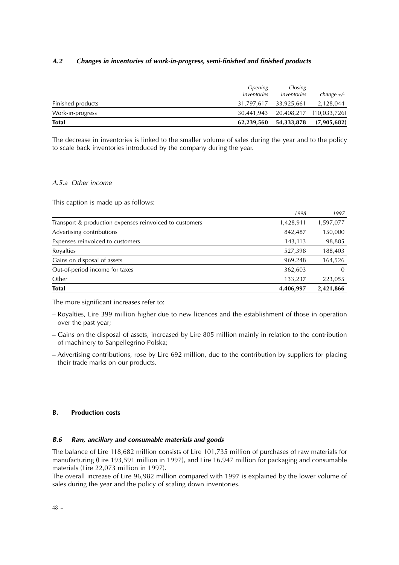#### **A.2 Changes in inventories of work-in-progress, semi-finished and finished products**

|                   | <i><b>Opening</b></i> | Closing                            |              |
|-------------------|-----------------------|------------------------------------|--------------|
|                   | inventories           | inventories                        | change $+/-$ |
| Finished products |                       | 31,797,617 33,925,661              | 2,128,044    |
| Work-in-progress  |                       | 30,441,943 20,408,217 (10,033,726) |              |
| <b>Total</b>      | 62,239,560            | 54,333,878                         | (7,905,682)  |

The decrease in inventories is linked to the smaller volume of sales during the year and to the policy to scale back inventories introduced by the company during the year.

#### A.5.a Other income

This caption is made up as follows:

| <b>Total</b>                                            | 4,406,997 | 2,421,866 |
|---------------------------------------------------------|-----------|-----------|
| Other                                                   | 133,237   | 223,055   |
| Out-of-period income for taxes                          | 362,603   | $\Omega$  |
| Gains on disposal of assets                             | 969,248   | 164,526   |
| Royalties                                               | 527,398   | 188,403   |
| Expenses reinvoiced to customers                        | 143,113   | 98,805    |
| Advertising contributions                               | 842,487   | 150,000   |
| Transport & production expenses reinvoiced to customers | 1,428,911 | 1,597,077 |
|                                                         | 1998      | 1997      |

The more significant increases refer to:

- Royalties, Lire 399 million higher due to new licences and the establishment of those in operation over the past year;
- Gains on the disposal of assets, increased by Lire 805 million mainly in relation to the contribution of machinery to Sanpellegrino Polska;
- Advertising contributions, rose by Lire 692 million, due to the contribution by suppliers for placing their trade marks on our products.

#### **B. Production costs**

#### **B.6 Raw, ancillary and consumable materials and goods**

The balance of Lire 118,682 million consists of Lire 101,735 million of purchases of raw materials for manufacturing (Lire 193,591 million in 1997), and Lire 16,947 million for packaging and consumable materials (Lire 22,073 million in 1997).

The overall increase of Lire 96,982 million compared with 1997 is explained by the lower volume of sales during the year and the policy of scaling down inventories.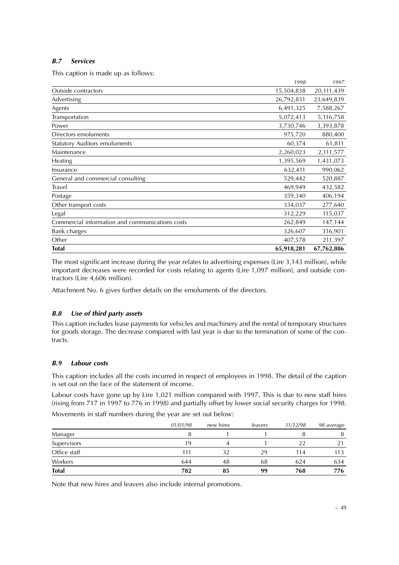#### **B.7 Services**

This caption is made up as follows:

|                                                 | 1998       | 1997       |
|-------------------------------------------------|------------|------------|
| Outside contractors                             | 15,504,838 | 20,111,439 |
| Advertising                                     | 26,792,831 | 23,649,839 |
| Agents                                          | 6,491,325  | 7,588,267  |
| Transportation                                  | 5,072,413  | 5,116,758  |
| Power                                           | 3,730,746  | 3,393,878  |
| Directors emoluments                            | 975,720    | 880,400    |
| <b>Statutory Auditors emoluments</b>            | 60,374     | 61,811     |
| Maintenance                                     | 2,260,023  | 2,111,577  |
| Heating                                         | 1,395,569  | 1,431,073  |
| Insurance                                       | 632,411    | 990,062    |
| General and commercial consulting               | 529,442    | 520,887    |
| Travel                                          | 469,949    | 432,582    |
| Postage                                         | 359,340    | 406,194    |
| Other transport costs                           | 334,037    | 277,640    |
| Legal                                           | 312,229    | 115,037    |
| Commercial information and communications costs | 262,849    | 147,144    |
| Bank charges                                    | 326,607    | 316,901    |
| Other                                           | 407,578    | 211,397    |
| <b>Total</b>                                    | 65,918,281 | 67,762,886 |

The most significant increase during the year relates to advertising expenses (Lire 3,143 million), while important decreases were recorded for costs relating to agents (Lire 1,097 million), and outside contractors (Lire 4,606 million).

Attachment No. 6 gives further details on the emoluments of the directors.

#### **B.8 Use of third party assets**

This caption includes lease payments for vehicles and machinery and the rental of temporary structures for goods storage. The decrease compared with last year is due to the termination of some of the contracts.

#### **B.9 Labour costs**

This caption includes all the costs incurred in respect of employees in 1998. The detail of the caption is set out on the face of the statement of income.

Labour costs have gone up by Lire 1,021 million compared with 1997. This is due to new staff hires (rising from 717 in 1997 to 776 in 1998) and partially offset by lower social security charges for 1998. Movements in staff numbers during the year are set out below:

|              | 01/01/98 | new hires | leavers | 31/12/98 | <i>98 average</i> |
|--------------|----------|-----------|---------|----------|-------------------|
| Manager      |          |           |         |          | 8                 |
| Supervisors  | 19       |           |         | 22       |                   |
| Office staff | 111      | 32        | 29      | 114      | 113               |
| Workers      | 644      | 48        | 68      | 624      | 634               |
| <b>Total</b> | 782      | 85        | 99      | 768      | 776               |

Note that new hires and leavers also include internal promotions.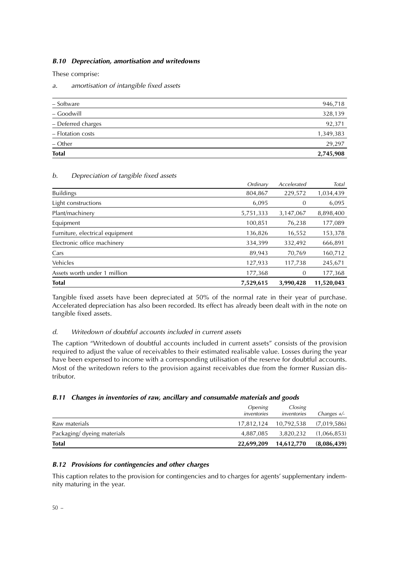#### **B.10 Depreciation, amortisation and writedowns**

These comprise:

a. amortisation of intangible fixed assets

| $-$ Other          | 29,297    |
|--------------------|-----------|
| - Flotation costs  | 1,349,383 |
| - Deferred charges | 92,371    |
| - Goodwill         | 328,139   |
| - Software         | 946,718   |

#### b. Depreciation of tangible fixed assets

|                                 | Ordinary  | Accelerated | Total      |
|---------------------------------|-----------|-------------|------------|
| <b>Buildings</b>                | 804,867   | 229,572     | 1,034,439  |
| Light constructions             | 6,095     | 0           | 6,095      |
| Plant/machinery                 | 5,751,333 | 3,147,067   | 8,898,400  |
| Equipment                       | 100,851   | 76,238      | 177,089    |
| Furniture, electrical equipment | 136,826   | 16,552      | 153,378    |
| Electronic office machinery     | 334,399   | 332,492     | 666,891    |
| Cars                            | 89,943    | 70,769      | 160,712    |
| Vehicles                        | 127,933   | 117,738     | 245,671    |
| Assets worth under 1 million    | 177,368   | 0           | 177,368    |
| <b>Total</b>                    | 7,529,615 | 3,990,428   | 11,520,043 |

Tangible fixed assets have been depreciated at 50% of the normal rate in their year of purchase. Accelerated depreciation has also been recorded. Its effect has already been dealt with in the note on tangible fixed assets.

#### d. Writedown of doubtful accounts included in current assets

The caption "Writedown of doubtful accounts included in current assets" consists of the provision required to adjust the value of receivables to their estimated realisable value. Losses during the year have been expensed to income with a corresponding utilisation of the reserve for doubtful accounts. Most of the writedown refers to the provision against receivables due from the former Russian distributor.

#### **B.11 Changes in inventories of raw, ancillary and consumable materials and goods**

| <b>Total</b>                | 22.699.209                           | 14,612,770             | (8,086,439)   |
|-----------------------------|--------------------------------------|------------------------|---------------|
| Packaging/ dyeing materials | 4,887,085                            | 3,820,232              | (1,066,853)   |
| Raw materials               | 17.812.124                           | 10.792.538             | (7,019,586)   |
|                             | <i><b>Opening</b></i><br>inventories | Closing<br>inventories | Changes $+/-$ |

#### **B.12 Provisions for contingencies and other charges**

This caption relates to the provision for contingencies and to charges for agents' supplementary indemnity maturing in the year.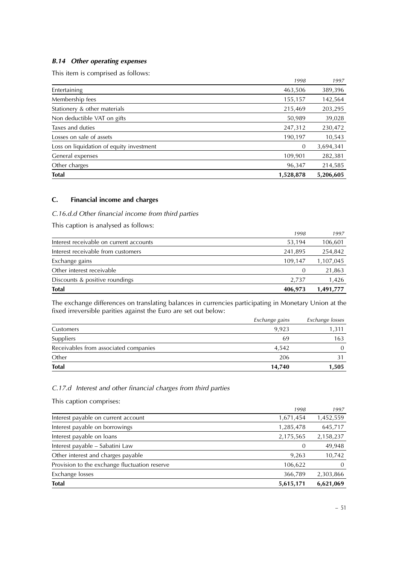### **B.14 Other operating expenses**

This item is comprised as follows:

| <b>Total</b>                             | 1,528,878 | 5,206,605 |
|------------------------------------------|-----------|-----------|
| Other charges                            | 96,347    | 214,585   |
| General expenses                         | 109,901   | 282,381   |
| Loss on liquidation of equity investment | $\theta$  | 3,694,341 |
| Losses on sale of assets                 | 190,197   | 10,543    |
| Taxes and duties                         | 247,312   | 230,472   |
| Non deductible VAT on gifts              | 50,989    | 39,028    |
| Stationery & other materials             | 215,469   | 203,295   |
| Membership fees                          | 155,157   | 142,564   |
| Entertaining                             | 463,506   | 389,396   |
|                                          | 1998      | 1997      |

#### **C. Financial income and charges**

#### C.16.d.d Other financial income from third parties

This caption is analysed as follows:

| <b>Total</b>                            | 406,973          | 1,491,777 |
|-----------------------------------------|------------------|-----------|
| Discounts & positive roundings          | 2.737            | 1,426     |
| Other interest receivable               | $\left( \right)$ | 21,863    |
| Exchange gains                          | 109.147          | 1,107,045 |
| Interest receivable from customers      | 241.895          | 254,842   |
| Interest receivable on current accounts | 53,194           | 106,601   |
|                                         | 1998             | 1997      |
|                                         |                  |           |

The exchange differences on translating balances in currencies participating in Monetary Union at the fixed irreversible parities against the Euro are set out below:

| <b>Total</b>                          | 14,740         | 1,505           |
|---------------------------------------|----------------|-----------------|
| Other                                 | 206            |                 |
| Receivables from associated companies | 4.542          |                 |
| Suppliers                             | 69             | 163             |
| Customers                             | 9.923          | 1,311           |
|                                       | Exchange gains | Exchange losses |

#### C.17.d Interest and other financial charges from third parties

This caption comprises:

|                                               | 1998      | 1997      |
|-----------------------------------------------|-----------|-----------|
| Interest payable on current account           | 1,671,454 | 1,452,559 |
| Interest payable on borrowings                | 1,285,478 | 645,717   |
| Interest payable on loans                     | 2,175,565 | 2,158,237 |
| Interest payable - Sabatini Law               | 0         | 49,948    |
| Other interest and charges payable            | 9,263     | 10,742    |
| Provision to the exchange fluctuation reserve | 106,622   | $\Omega$  |
| Exchange losses                               | 366,789   | 2,303,866 |
| <b>Total</b>                                  | 5,615,171 | 6,621,069 |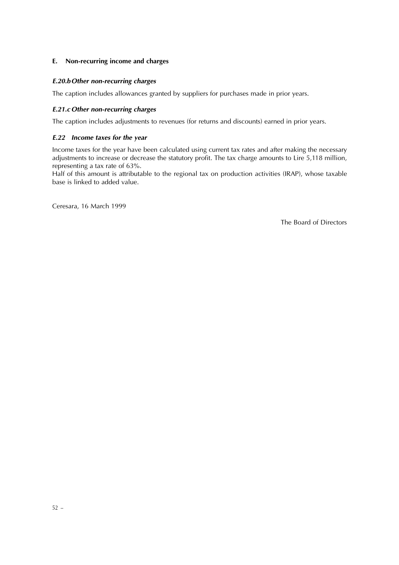#### **E. Non-recurring income and charges**

#### **E.20.bOther non-recurring charges**

The caption includes allowances granted by suppliers for purchases made in prior years.

#### **E.21.c Other non-recurring charges**

The caption includes adjustments to revenues (for returns and discounts) earned in prior years.

#### **E.22 Income taxes for the year**

Income taxes for the year have been calculated using current tax rates and after making the necessary adjustments to increase or decrease the statutory profit. The tax charge amounts to Lire 5,118 million, representing a tax rate of 63%.

Half of this amount is attributable to the regional tax on production activities (IRAP), whose taxable base is linked to added value.

Ceresara, 16 March 1999

The Board of Directors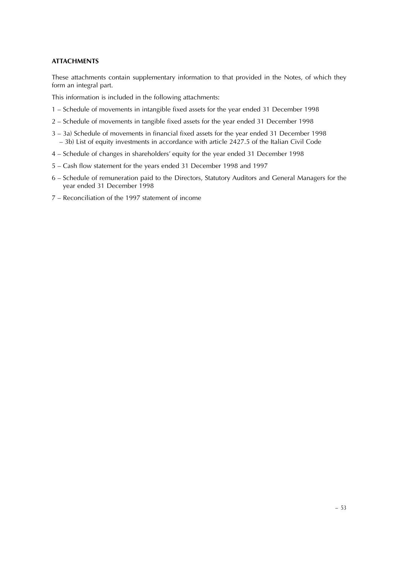#### **ATTACHMENTS**

These attachments contain supplementary information to that provided in the Notes, of which they form an integral part.

This information is included in the following attachments:

- 1 Schedule of movements in intangible fixed assets for the year ended 31 December 1998
- 2 Schedule of movements in tangible fixed assets for the year ended 31 December 1998
- 3 3a) Schedule of movements in financial fixed assets for the year ended 31 December 1998 – 3b) List of equity investments in accordance with article 2427.5 of the Italian Civil Code
- 4 Schedule of changes in shareholders' equity for the year ended 31 December 1998
- 5 Cash flow statement for the years ended 31 December 1998 and 1997
- 6 Schedule of remuneration paid to the Directors, Statutory Auditors and General Managers for the year ended 31 December 1998
- 7 Reconciliation of the 1997 statement of income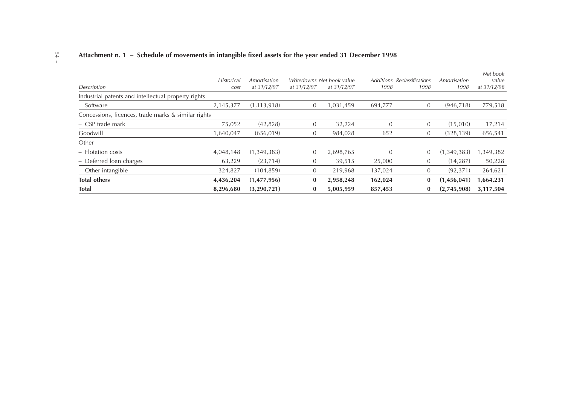## 54 –**Attachment n. 1 – Schedule of movements in intangible fixed assets for the year ended 31 December 1998**

|                                                     |                   |               |                |                           |          |                             |              | Net book    |
|-----------------------------------------------------|-------------------|---------------|----------------|---------------------------|----------|-----------------------------|--------------|-------------|
|                                                     | <b>Historical</b> | Amortisation  |                | Writedowns Net book value |          | Additions Reclassifications | Amortisation | value       |
| Description                                         | cost              | at 31/12/97   | at 31/12/97    | at 31/12/97               | 1998     | 1998                        | 1998         | at 31/12/98 |
| Industrial patents and intellectual property rights |                   |               |                |                           |          |                             |              |             |
| - Software                                          | 2,145,377         | (1, 113, 918) | $\mathbf{0}$   | 1,031,459                 | 694,777  | $\theta$                    | (946.718)    | 779,518     |
| Concessions, licences, trade marks & similar rights |                   |               |                |                           |          |                             |              |             |
| - CSP trade mark                                    | 75,052            | (42, 828)     | $\overline{0}$ | 32,224                    | $\Omega$ | $\overline{0}$              | (15,010)     | 17,214      |
| Goodwill                                            | 1,640,047         | (656, 019)    | $\overline{0}$ | 984.028                   | 652      | $\overline{0}$              | (328.139)    | 656,541     |
| Other                                               |                   |               |                |                           |          |                             |              |             |
| - Flotation costs                                   | 4,048,148         | (1,349,383)   | $\mathbf{0}$   | 2,698,765                 | $\Omega$ | $\overline{0}$              | (1,349,383)  | 1,349,382   |
| - Deferred loan charges                             | 63,229            | (23,714)      | $\theta$       | 39,515                    | 25,000   | $\theta$                    | (14, 287)    | 50,228      |
| $-$ Other intangible                                | 324,827           | (104, 859)    | $\overline{0}$ | 219,968                   | 137,024  | $\mathbf{0}$                | (92, 371)    | 264,621     |
| <b>Total others</b>                                 | 4,436,204         | (1,477,956)   | $\bf{0}$       | 2,958,248                 | 162,024  | $\bf{0}$                    | (1,456,041)  | 1,664,231   |
| <b>Total</b>                                        | 8.296.680         | (3,290,721)   | $\bf{0}$       | 5,005,959                 | 857,453  | $\bf{0}$                    | (2,745,908)  | 3.117.504   |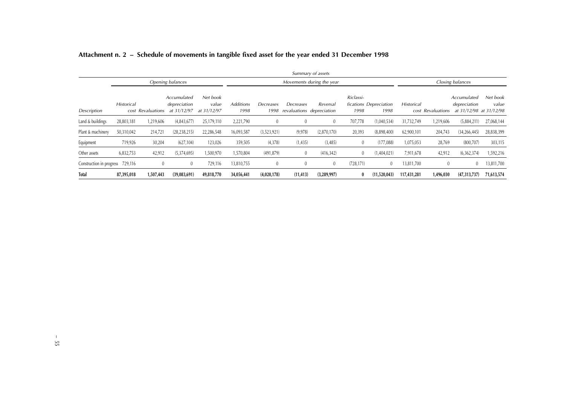|                          |            |                   |                                            |                                  |                          |                   |                                        | Summary of assets         |                   |                                |                   |                   |                                                        |                   |
|--------------------------|------------|-------------------|--------------------------------------------|----------------------------------|--------------------------|-------------------|----------------------------------------|---------------------------|-------------------|--------------------------------|-------------------|-------------------|--------------------------------------------------------|-------------------|
|                          |            |                   | Opening balances                           |                                  |                          |                   |                                        | Movements during the year |                   |                                |                   |                   | Closing balances                                       |                   |
| Description              | Historical | cost Revaluations | Accumulated<br>depreciation<br>at 31/12/97 | Net book<br>value<br>at 31/12/97 | <b>Additions</b><br>1998 | Decreases<br>1998 | Decreases<br>revaluations depreciation | Reversal                  | Riclassi-<br>1998 | fications Depreciation<br>1998 | <b>Historical</b> | cost Revaluations | Accumulated<br>depreciation<br>at 31/12/98 at 31/12/98 | Net book<br>value |
| Land & buildings         | 28,803,181 | ,219,606          | (4,843,677)                                | 25,179,110                       | 2,221,790                | $\theta$          |                                        | $\mathbf{0}$              | 707,778           | (1,040,534)                    | 31,732,749        | 1,219,606         | (5,884,211)                                            | 27,068,144        |
| Plant & machinery        | 50,310,042 | 214,721           | (28, 238, 215)                             | 22,286,548                       | 16,093,587               | (3,523,921)       | (9,978)                                | (2,870,170)               | 20,393            | (8,898,400)                    | 62,900,101        | 204,743           | (34, 266, 445)                                         | 28,838,399        |
| Equipment                | 719,926    | 30,204            | (627, 104)                                 | 123,026                          | 359,505                  | (4,378)           | (1, 435)                               | (3,485)                   | $\mathbf{0}$      | (177,088)                      | 1,075,053         | 28,769            | (800, 707)                                             | 303,115           |
| Other assets             | 6,832,753  | 42,912            | (5,374,695)                                | 1,500,970                        | 1,570,804                | (491, 879)        | U                                      | (416, 342)                | $\mathbf{0}$      | (1,404,021)                    | 7,911,678         | 42,912            | (6,362,374)                                            | 1,592,216         |
| Construction in progress | 729,116    | $\theta$          | $\mathbf{0}$                               | 729,116                          | 13,810,755               |                   |                                        | $\bf{0}$                  | (728, 171)        | $\mathbf{0}$                   | 13,811,700        | $\theta$          | $\theta$                                               | 13,811,700        |
| <b>Total</b>             | 87,395,018 | 1,507,443         | (39,083,691)                               | 49,818,770                       | 34,056,441               | (4,020,178)       | (11, 413)                              | (3,289,997)               | 0                 | (11,520,043)                   | 117,431,281       | 1,496,030         | (47,313,737)                                           | 71,613,574        |

## **Attachment n. 2 – Schedule of movements in tangible fixed asset for the year ended 31 December 1998**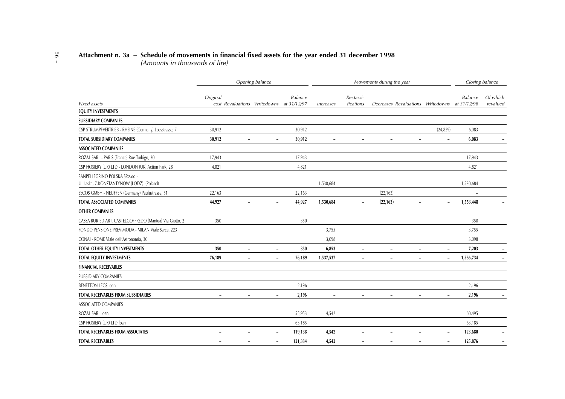## 56 –**Attachment n. 3a – Schedule of movements in financial fixed assets for the year ended 31 december 1998** (Amounts in thousands of lire)

|                                                         |                                                      | Opening balance          |                |                          |                          | Movements during the year                                |                          |           | Closing balance |
|---------------------------------------------------------|------------------------------------------------------|--------------------------|----------------|--------------------------|--------------------------|----------------------------------------------------------|--------------------------|-----------|-----------------|
|                                                         | Original                                             |                          | <b>Balance</b> |                          | Reclassi-                |                                                          |                          | Balance   | Of which        |
| <b>Fixed</b> assets                                     | cost Revaluations Writedowns at 31/12/97             |                          |                | Increases                | fications                | Decreases Revaluations Writedowns at 31/12/98            |                          |           | revalued        |
| <b>EQUITY INVESTMENTS</b>                               |                                                      |                          |                |                          |                          |                                                          |                          |           |                 |
| <b>SUBSIDIARY COMPANIES</b>                             |                                                      |                          |                |                          |                          |                                                          |                          |           |                 |
| CSP STRUMPFVERTRIEB - RHEINE (Germany) Loesstrasse, 7   | 30,912                                               |                          | 30,912         |                          |                          |                                                          | (24, 829)                | 6,083     |                 |
| <b>TOTAL SUBSIDIARY COMPANIES</b>                       | 30,912<br>$\overline{\phantom{0}}$                   | $\overline{\phantom{a}}$ | 30,912         | $\blacksquare$           | $\blacksquare$           | $\overline{\phantom{0}}$<br>$\blacksquare$               | $\overline{\phantom{a}}$ | 6,083     |                 |
| <b>ASSOCIATED COMPANIES</b>                             |                                                      |                          |                |                          |                          |                                                          |                          |           |                 |
| ROZAL SARL - PARIS (France) Rue Turbigo, 30             | 17,943                                               |                          | 17,943         |                          |                          |                                                          |                          | 17,943    |                 |
| CSP HOSIERY (UK) LTD - LONDON (UK) Action Park, 28      | 4,821                                                |                          | 4,821          |                          |                          |                                                          |                          | 4,821     |                 |
| SANPELLEGRINO POLSKA SP.z.oo -                          |                                                      |                          |                |                          |                          |                                                          |                          |           |                 |
| Ul.Laska, 7-KONSTANTYNOW (LODZ) (Poland)                |                                                      |                          |                | 1,530,684                |                          |                                                          |                          | 1,530,684 |                 |
| ESCOS GMBH - NEUFFEN (Germany) Paulustrasse, 51         | 22,163                                               |                          | 22,163         |                          |                          | (22, 163)                                                |                          |           |                 |
| <b>TOTAL ASSOCIATED COMPANIES</b>                       | 44,927<br>$\overline{\phantom{0}}$                   | $\overline{\phantom{a}}$ | 44,927         | 1,530,684                |                          | (22, 163)<br>$\overline{a}$                              | $\overline{\phantom{a}}$ | 1,553,448 |                 |
| <b>OTHER COMPANIES</b>                                  |                                                      |                          |                |                          |                          |                                                          |                          |           |                 |
| CASSA RUR.ED ART. CASTELGOFFREDO (Mantua) Via Giotto, 2 | 350                                                  |                          | 350            |                          |                          |                                                          |                          | 350       |                 |
| FONDO PENSIONE PREVIMODA - MILAN Viale Sarca, 223       |                                                      |                          |                | 3,755                    |                          |                                                          |                          | 3,755     |                 |
| CONAI - ROME Viale dell'Astronomia, 30                  |                                                      |                          |                | 3,098                    |                          |                                                          |                          | 3,098     |                 |
| TOTAL OTHER EQUITY INVESTMENTS                          | 350<br>$\overline{\phantom{0}}$                      | $\overline{\phantom{a}}$ | 350            | 6,853                    | $\overline{\phantom{0}}$ | $\overline{\phantom{a}}$                                 | $\overline{\phantom{a}}$ | 7,203     |                 |
| TOTAL EQUITY INVESTMENTS                                | 76,189<br>$\overline{\phantom{a}}$                   | $\overline{\phantom{a}}$ | 76,189         | 1,537,537                | $\overline{\phantom{a}}$ | $\overline{\phantom{a}}$<br>$\qquad \qquad \blacksquare$ | $\overline{\phantom{a}}$ | 1,566,734 |                 |
| <b>FINANCIAL RECEIVABLES</b>                            |                                                      |                          |                |                          |                          |                                                          |                          |           |                 |
| SUBSIDIARY COMPANIES                                    |                                                      |                          |                |                          |                          |                                                          |                          |           |                 |
| <b>BENETTON LEGS loan</b>                               |                                                      |                          | 2,196          |                          |                          |                                                          |                          | 2,196     |                 |
| <b>TOTAL RECEIVABLES FROM SUBSIDIARIES</b>              |                                                      | $\overline{\phantom{a}}$ | 2,196          | $\overline{\phantom{a}}$ |                          |                                                          | $\overline{\phantom{a}}$ | 2,196     |                 |
| ASSOCIATED COMPANIES                                    |                                                      |                          |                |                          |                          |                                                          |                          |           |                 |
| ROZAL SARL loan                                         |                                                      |                          | 55,953         | 4,542                    |                          |                                                          |                          | 60,495    |                 |
| CSP HOSIERY (UK) LTD loan                               |                                                      |                          | 63,185         |                          |                          |                                                          |                          | 63,185    |                 |
| <b>TOTAL RECEIVABLES FROM ASSOCIATES</b>                | $\overline{\phantom{a}}$                             | $\overline{\phantom{a}}$ | 119,138        | 4,542                    | $\overline{\phantom{0}}$ | $\overline{\phantom{a}}$<br>$\overline{\phantom{0}}$     | $\overline{\phantom{a}}$ | 123,680   |                 |
| <b>TOTAL RECEIVABLES</b>                                | $\overline{\phantom{a}}$<br>$\overline{\phantom{a}}$ | $\overline{\phantom{a}}$ | 121,334        | 4,542                    | $\overline{\phantom{a}}$ | $\overline{\phantom{a}}$<br>$\overline{\phantom{0}}$     | $\overline{\phantom{a}}$ | 125,876   |                 |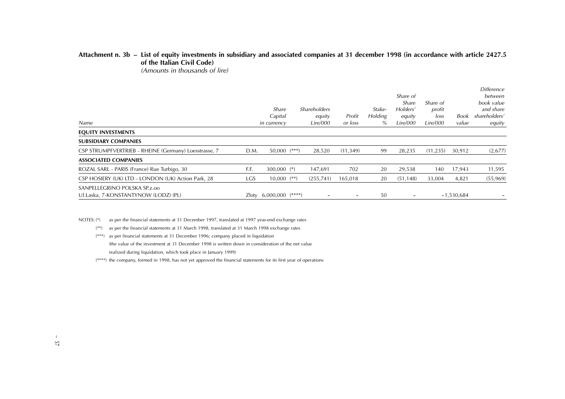## **Attachment n. 3b – List of equity investments in subsidiary and associated companies at 31 december 1998 (in accordance with article 2427.5 of the Italian Civil Code)**

(Amounts in thousands of lire)

| Name                                                                 |      | Share<br>Capital<br>in currency | <b>Shareholders</b><br>equity<br>Lire/000 | Profit<br>or loss | Stake-<br><b>Holding</b><br>% | Share of<br>Share<br>Holders'<br>equity<br>Lire/000 | Share of<br>profit<br>loss<br>Lire/000 | Book<br>value | <i>Difference</i><br>between<br>book value<br>and share<br>shareholders'<br>equity |
|----------------------------------------------------------------------|------|---------------------------------|-------------------------------------------|-------------------|-------------------------------|-----------------------------------------------------|----------------------------------------|---------------|------------------------------------------------------------------------------------|
| EQUITY INVESTMENTS                                                   |      |                                 |                                           |                   |                               |                                                     |                                        |               |                                                                                    |
| <b>SUBSIDIARY COMPANIES</b>                                          |      |                                 |                                           |                   |                               |                                                     |                                        |               |                                                                                    |
| CSP STRUMPFVERTRIEB - RHEINE (Germany) Loesstrasse, 7                | D.M. | 50,000 (***)                    | 28,520                                    | (11, 349)         | 99                            | 28,235                                              | (11, 235)                              | 30,912        | (2,677)                                                                            |
| <b>ASSOCIATED COMPANIES</b>                                          |      |                                 |                                           |                   |                               |                                                     |                                        |               |                                                                                    |
| ROZAL SARL - PARIS (France) Rue Turbigo, 30                          | F.F. | $300,000$ (*)                   | 147,691                                   | 702               | 20                            | 29,538                                              | 140                                    | 17,943        | 11,595                                                                             |
| CSP HOSIERY (UK) LTD - LONDON (UK) Action Park, 28                   | LGS  | $10,000$ $(**)$                 | (255, 741)                                | 165,018           | 20                            | (51, 148)                                           | 33,004                                 | 4,821         | (55, 969)                                                                          |
| SANPELLEGRINO POLSKA SP.z.oo<br>Ul.Laska, 7-KONSTANTYNOW (LODZ) (PL) |      | Zloty 6,000,000 (****)          |                                           |                   | 50                            |                                                     |                                        | $-1,530,684$  |                                                                                    |

NOTES: (\*) as per the financial statements at 31 December 1997, translated at 1997 year-end exchange rates

(\*\*) as per the financial statements at 31 March 1998, translated at 31 March 1998 exchange rates

(\*\*\*) as per financial statements at 31 December 1996; company placed in liquidation (the value of the investment at 31 December 1998 is written down in consideration of the net value realized during liquidation, which took place in January 1999)

(\*\*\*\*) the company, formed in 1998, has not yet approved the financial statements for its first year of operations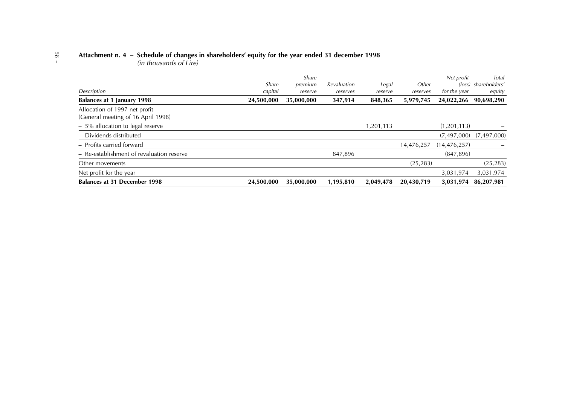# 58 –**Attachment n. 4 – Schedule of changes in shareholders' equity for the year ended 31 december 1998** (in thousands of Lire)

|                                                                     |            | Share      |             |           |            | Net profit     | Total                       |
|---------------------------------------------------------------------|------------|------------|-------------|-----------|------------|----------------|-----------------------------|
|                                                                     | Share      | premium    | Revaluation | Legal     | Other      |                | (loss) shareholders'        |
| Description                                                         | capital    | reserve    | reserves    | reserve   | reserves   | for the year   | equity                      |
| Balances at 1 January 1998                                          | 24,500,000 | 35,000,000 | 347,914     | 848,365   | 5,979,745  | 24,022,266     | 90,698,290                  |
| Allocation of 1997 net profit<br>(General meeting of 16 April 1998) |            |            |             |           |            |                |                             |
| $-5\%$ allocation to legal reserve                                  |            |            |             | 1,201,113 |            | (1, 201, 113)  |                             |
| - Dividends distributed                                             |            |            |             |           |            |                | $(7,497,000)$ $(7,497,000)$ |
| - Profits carried forward                                           |            |            |             |           | 14,476,257 | (14, 476, 257) |                             |
| - Re-establishment of revaluation reserve                           |            |            | 847,896     |           |            | (847, 896)     |                             |
| Other movements                                                     |            |            |             |           | (25, 283)  |                | (25, 283)                   |
| Net profit for the year                                             |            |            |             |           |            | 3,031,974      | 3,031,974                   |
| <b>Balances at 31 December 1998</b>                                 | 24,500,000 | 35,000,000 | 1,195,810   | 2,049,478 | 20,430,719 | 3,031,974      | 86,207,981                  |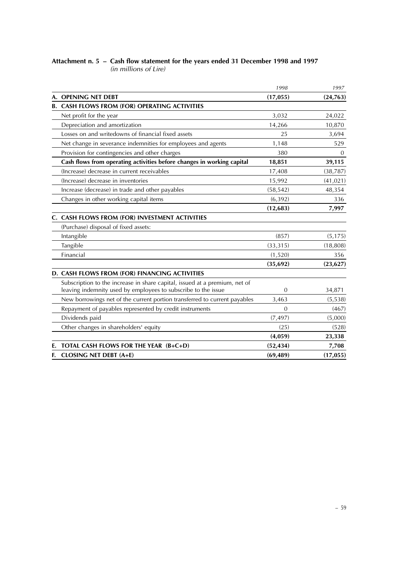#### **Attachment n. 5 – Cash flow statement for the years ended 31 December 1998 and 1997** (in millions of Lire)

|    |                                                                            | 1998      | 1997      |
|----|----------------------------------------------------------------------------|-----------|-----------|
|    | A. OPENING NET DEBT                                                        | (17, 055) | (24, 763) |
|    | <b>B. CASH FLOWS FROM (FOR) OPERATING ACTIVITIES</b>                       |           |           |
|    | Net profit for the year                                                    | 3,032     | 24,022    |
|    | Depreciation and amortization                                              | 14,266    | 10,870    |
|    | Losses on and writedowns of financial fixed assets                         | 25        | 3,694     |
|    | Net change in severance indemnities for employees and agents               | 1,148     | 529       |
|    | Provision for contingencies and other charges                              | 380       | 0         |
|    | Cash flows from operating activities before changes in working capital     | 18,851    | 39,115    |
|    | (Increase) decrease in current receivables                                 | 17,408    | (38, 787) |
|    | (Increase) decrease in inventories                                         | 15,992    | (41, 021) |
|    | Increase (decrease) in trade and other payables                            | (58, 542) | 48,354    |
|    | Changes in other working capital items                                     | (6, 392)  | 336       |
|    |                                                                            | (12, 683) | 7,997     |
|    | C. CASH FLOWS FROM (FOR) INVESTMENT ACTIVITIES                             |           |           |
|    | (Purchase) disposal of fixed assets:                                       |           |           |
|    | Intangible                                                                 | (857)     | (5, 175)  |
|    | Tangible                                                                   | (33, 315) | (18, 808) |
|    | Financial                                                                  | (1,520)   | 356       |
|    |                                                                            | (35, 692) | (23, 627) |
|    | D. CASH FLOWS FROM (FOR) FINANCING ACTIVITIES                              |           |           |
|    | Subscription to the increase in share capital, issued at a premium, net of |           |           |
|    | leaving indemnity used by employees to subscribe to the issue              | 0         | 34,871    |
|    | New borrowings net of the current portion transferred to current payables  | 3,463     | (5, 538)  |
|    | Repayment of payables represented by credit instruments                    | $\Omega$  | (467)     |
|    | Dividends paid                                                             | (7, 497)  | (5,000)   |
|    | Other changes in shareholders' equity                                      | (25)      | (528)     |
|    |                                                                            | (4,059)   | 23,338    |
|    | TOTAL CASH FLOWS FOR THE YEAR (B+C+D)                                      | (52, 434) | 7,708     |
| F. | <b>CLOSING NET DEBT (A+E)</b>                                              | (69, 489) | (17, 055) |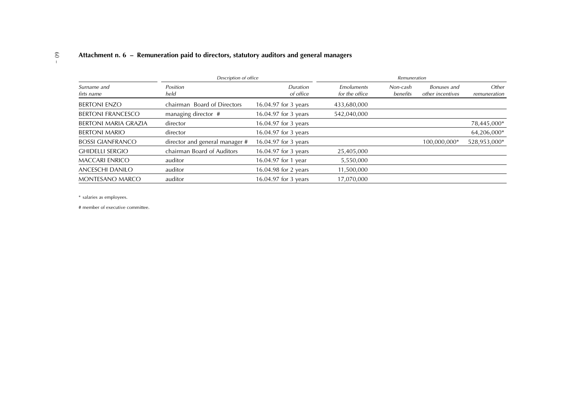## 60 –**Attachment n. 6 – Remuneration paid to directors, statutory auditors and general managers**

|                             | Description of office          |                       |                              | Remuneration         |                                 |                       |
|-----------------------------|--------------------------------|-----------------------|------------------------------|----------------------|---------------------------------|-----------------------|
| Surname and<br>firts name   | Position<br>held               | Duration<br>of office | Emoluments<br>for the office | Non-cash<br>benefits | Bonuses and<br>other incentives | Other<br>remuneration |
| <b>BERTONI ENZO</b>         | chairman Board of Directors    | 16.04.97 for 3 years  | 433,680,000                  |                      |                                 |                       |
| <b>BERTONI FRANCESCO</b>    | managing director #            | 16.04.97 for 3 years  | 542,040,000                  |                      |                                 |                       |
| <b>BERTONI MARIA GRAZIA</b> | director                       | 16.04.97 for 3 years  |                              |                      |                                 | 78,445,000*           |
| <b>BERTONI MARIO</b>        | director                       | 16.04.97 for 3 years  |                              |                      |                                 | 64,206,000*           |
| <b>BOSSI GIANFRANCO</b>     | director and general manager # | 16.04.97 for 3 years  |                              |                      | 100,000,000*                    | 528,953,000*          |
| <b>GHIDELLI SERGIO</b>      | chairman Board of Auditors     | 16.04.97 for 3 years  | 25,405,000                   |                      |                                 |                       |
| <b>MACCARI ENRICO</b>       | auditor                        | 16.04.97 for 1 year   | 5,550,000                    |                      |                                 |                       |
| <b>ANCESCHI DANILO</b>      | auditor                        | 16.04.98 for 2 years  | 11,500,000                   |                      |                                 |                       |
| <b>MONTESANO MARCO</b>      | auditor                        | 16.04.97 for 3 years  | 17,070,000                   |                      |                                 |                       |

\* salaries as employees.

# member of executive committee.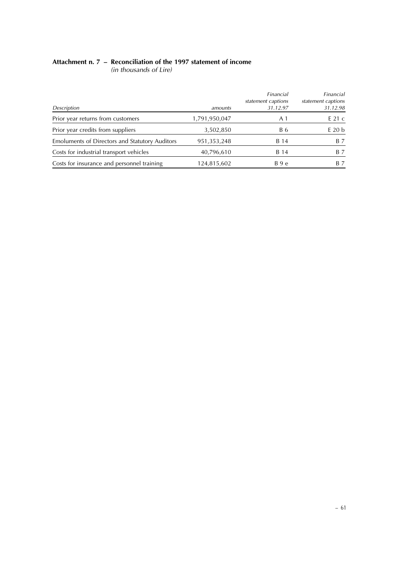### **Attachment n. 7 – Reconciliation of the 1997 statement of income**

(in thousands of Lire)

| Description                                    | amounts       | Financial<br>statement captions<br>31.12.97 | Financial<br>statement captions<br>31.12.98 |
|------------------------------------------------|---------------|---------------------------------------------|---------------------------------------------|
| Prior year returns from customers              | 1,791,950,047 | A 1                                         | $E$ 21 c                                    |
| Prior year credits from suppliers              | 3,502,850     | B 6                                         | $E$ 20 $b$                                  |
| Emoluments of Directors and Statutory Auditors | 951,353,248   | B 14                                        | B 7                                         |
| Costs for industrial transport vehicles        | 40,796,610    | B 14                                        | B 7                                         |
| Costs for insurance and personnel training     | 124,815,602   | B 9 e                                       | B 7                                         |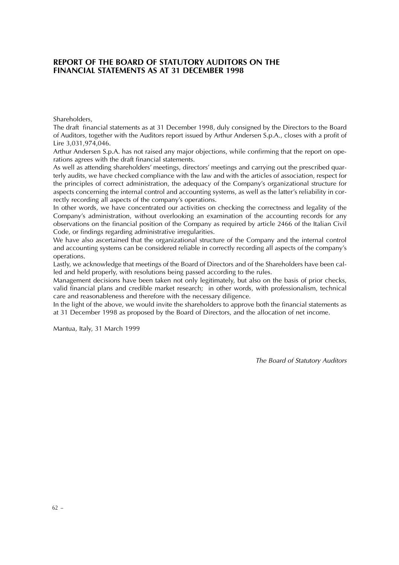#### **REPORT OF THE BOARD OF STATUTORY AUDITORS ON THE FINANCIAL STATEMENTS AS AT 31 DECEMBER 1998**

Shareholders,

The draft financial statements as at 31 December 1998, duly consigned by the Directors to the Board of Auditors, together with the Auditors report issued by Arthur Andersen S.p.A., closes with a profit of Lire 3,031,974,046.

Arthur Andersen S.p.A. has not raised any major objections, while confirming that the report on operations agrees with the draft financial statements.

As well as attending shareholders' meetings, directors' meetings and carrying out the prescribed quarterly audits, we have checked compliance with the law and with the articles of association, respect for the principles of correct administration, the adequacy of the Company's organizational structure for aspects concerning the internal control and accounting systems, as well as the latter's reliability in correctly recording all aspects of the company's operations.

In other words, we have concentrated our activities on checking the correctness and legality of the Company's administration, without overlooking an examination of the accounting records for any observations on the financial position of the Company as required by article 2466 of the Italian Civil Code, or findings regarding administrative irregularities.

We have also ascertained that the organizational structure of the Company and the internal control and accounting systems can be considered reliable in correctly recording all aspects of the company's operations.

Lastly, we acknowledge that meetings of the Board of Directors and of the Shareholders have been called and held properly, with resolutions being passed according to the rules.

Management decisions have been taken not only legitimately, but also on the basis of prior checks, valid financial plans and credible market research; in other words, with professionalism, technical care and reasonableness and therefore with the necessary diligence.

In the light of the above, we would invite the shareholders to approve both the financial statements as at 31 December 1998 as proposed by the Board of Directors, and the allocation of net income.

Mantua, Italy, 31 March 1999

The Board of Statutory Auditors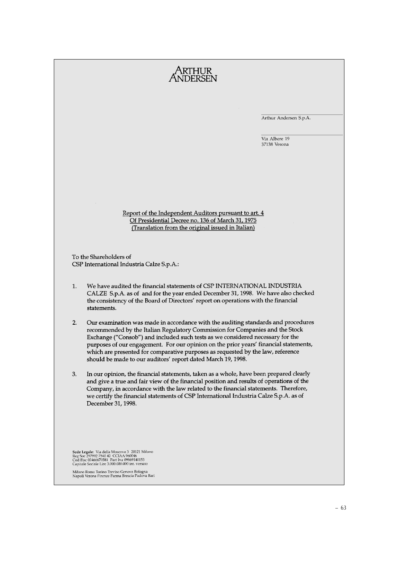|    |                                                                                                                                                                                                                                                                                                                                                                                                                                                                                                 | Arthur Andersen S.p.A.        |
|----|-------------------------------------------------------------------------------------------------------------------------------------------------------------------------------------------------------------------------------------------------------------------------------------------------------------------------------------------------------------------------------------------------------------------------------------------------------------------------------------------------|-------------------------------|
|    |                                                                                                                                                                                                                                                                                                                                                                                                                                                                                                 | Via Albere 19<br>37138 Verona |
|    |                                                                                                                                                                                                                                                                                                                                                                                                                                                                                                 |                               |
|    |                                                                                                                                                                                                                                                                                                                                                                                                                                                                                                 |                               |
|    |                                                                                                                                                                                                                                                                                                                                                                                                                                                                                                 |                               |
|    | Report of the Independent Auditors pursuant to art. 4<br>Of Presidential Decree no. 136 of March 31, 1975<br>(Translation from the original issued in Italian)                                                                                                                                                                                                                                                                                                                                  |                               |
|    |                                                                                                                                                                                                                                                                                                                                                                                                                                                                                                 |                               |
|    | To the Shareholders of<br>CSP International Industria Calze S.p.A.:                                                                                                                                                                                                                                                                                                                                                                                                                             |                               |
| 1. | We have audited the financial statements of CSP INTERNATIONAL INDUSTRIA<br>CALZE S.p.A. as of and for the year ended December 31, 1998. We have also checked<br>the consistency of the Board of Directors' report on operations with the financial<br>statements.                                                                                                                                                                                                                               |                               |
| 2. | Our examination was made in accordance with the auditing standards and procedures<br>recommended by the Italian Regulatory Commission for Companies and the Stock<br>Exchange ("Consob") and included such tests as we considered necessary for the<br>purposes of our engagement. For our opinion on the prior years' financial statements,<br>which are presented for comparative purposes as requested by the law, reference<br>should be made to our auditors' report dated March 19, 1998. |                               |
| 3. | In our opinion, the financial statements, taken as a whole, have been prepared clearly<br>and give a true and fair view of the financial position and results of operations of the<br>Company, in accordance with the law related to the financial statements. Therefore,<br>we certify the financial statements of CSP International Industria Calze S.p.A. as of<br>December 31, 1998.                                                                                                        |                               |
|    | Sede Legale: Via della Moscova 3 20121 Milano<br>Reg Soc 297992 7540 42 CCIAA 960046                                                                                                                                                                                                                                                                                                                                                                                                            |                               |
|    | Cod Fisc 02466670581 Part Iva 09869140153<br>Capitale Sociale Lire 3.000.000.000 int. versato                                                                                                                                                                                                                                                                                                                                                                                                   |                               |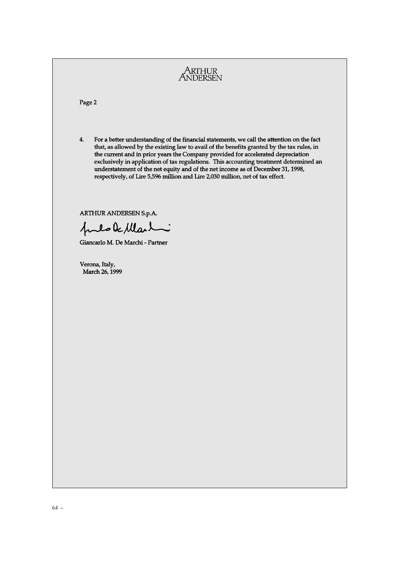ARTHUR<br>ANDERSEN Page 2  $4.$ For a better understanding of the financial statements, we call the attention on the fact that, as allowed by the existing law to avail of the benefits granted by the tax rules, in the current and in prior years the Company provided for accelerated depreciation exclusively in application of tax regulations. This accounting treatment determined an understatement of the net equity and of the net income as of December 31, 1998, respectively, of Lire 5,596 million and Lire 2,030 million, net of tax effect. ARTHUR ANDERSEN S.p.A. puls le Martin Giancarlo M. De Marchi - Partner Verona, Italy, March 26, 1999